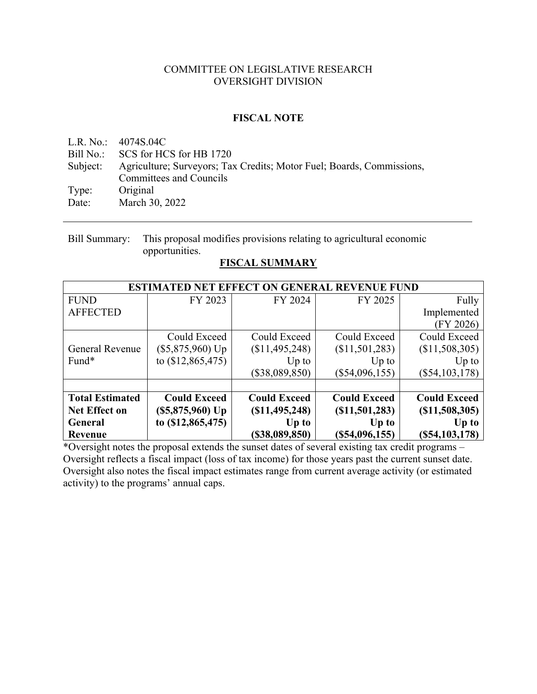#### COMMITTEE ON LEGISLATIVE RESEARCH OVERSIGHT DIVISION

#### **FISCAL NOTE**

L.R. No.: 4074S.04C Bill No.: SCS for HCS for HB 1720 Subject: Agriculture; Surveyors; Tax Credits; Motor Fuel; Boards, Commissions, Committees and Councils Type: Original Date: March 30, 2022

Bill Summary: This proposal modifies provisions relating to agricultural economic opportunities.

### **FISCAL SUMMARY**

|                        | <b>ESTIMATED NET EFFECT ON GENERAL REVENUE FUND</b> |                     |                     |                     |  |  |  |  |
|------------------------|-----------------------------------------------------|---------------------|---------------------|---------------------|--|--|--|--|
| <b>FUND</b>            | FY 2023                                             | FY 2024             | FY 2025             | Fully               |  |  |  |  |
| <b>AFFECTED</b>        |                                                     |                     |                     | Implemented         |  |  |  |  |
|                        |                                                     |                     |                     | (FY 2026)           |  |  |  |  |
|                        | Could Exceed                                        | Could Exceed        | Could Exceed        | Could Exceed        |  |  |  |  |
| General Revenue        | $(\$5,875,960)$ Up                                  | (\$11,495,248)      | (\$11,501,283)      | (\$11,508,305)      |  |  |  |  |
| Fund*                  | to $(\$12,865,475)$                                 | $Up$ to             | $Up$ to             | $Up$ to             |  |  |  |  |
|                        |                                                     | (\$38,089,850)      | $(\$54,096,155)$    | $(\$54,103,178)$    |  |  |  |  |
|                        |                                                     |                     |                     |                     |  |  |  |  |
| <b>Total Estimated</b> | <b>Could Exceed</b>                                 | <b>Could Exceed</b> | <b>Could Exceed</b> | <b>Could Exceed</b> |  |  |  |  |
| <b>Net Effect on</b>   | $(S5, 875, 960)$ Up                                 | (S11, 495, 248)     | (S11, 501, 283)     | (S11,508,305)       |  |  |  |  |
| General                | to (\$12,865,475)                                   | Up to               | Up to               | $Up$ to             |  |  |  |  |
| Revenue                |                                                     | (\$38,089,850)      | (S54,096,155)       | (S54, 103, 178)     |  |  |  |  |

\*Oversight notes the proposal extends the sunset dates of several existing tax credit programs – Oversight reflects a fiscal impact (loss of tax income) for those years past the current sunset date. Oversight also notes the fiscal impact estimates range from current average activity (or estimated activity) to the programs' annual caps.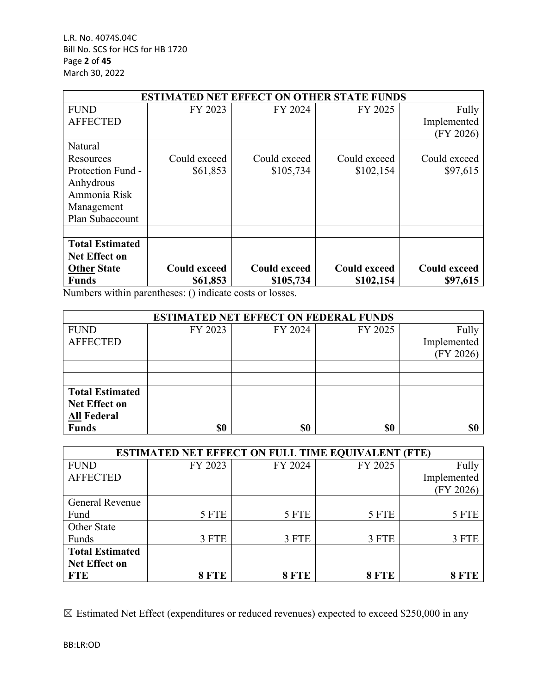|                        | <b>ED NET EFFECT ON OTHER STATE FUNDS</b><br>ESTIMA |                     |                     |                     |  |  |  |  |
|------------------------|-----------------------------------------------------|---------------------|---------------------|---------------------|--|--|--|--|
| <b>FUND</b>            | FY 2023                                             | FY 2024             | FY 2025             | Fully               |  |  |  |  |
| <b>AFFECTED</b>        |                                                     |                     |                     | Implemented         |  |  |  |  |
|                        |                                                     |                     |                     | (FY 2026)           |  |  |  |  |
| Natural                |                                                     |                     |                     |                     |  |  |  |  |
| Resources              | Could exceed                                        | Could exceed        | Could exceed        | Could exceed        |  |  |  |  |
| Protection Fund -      | \$61,853                                            | \$105,734           | \$102,154           | \$97,615            |  |  |  |  |
| Anhydrous              |                                                     |                     |                     |                     |  |  |  |  |
| Ammonia Risk           |                                                     |                     |                     |                     |  |  |  |  |
| Management             |                                                     |                     |                     |                     |  |  |  |  |
| Plan Subaccount        |                                                     |                     |                     |                     |  |  |  |  |
|                        |                                                     |                     |                     |                     |  |  |  |  |
| <b>Total Estimated</b> |                                                     |                     |                     |                     |  |  |  |  |
| <b>Net Effect on</b>   |                                                     |                     |                     |                     |  |  |  |  |
| <b>Other State</b>     | <b>Could exceed</b>                                 | <b>Could exceed</b> | <b>Could exceed</b> | <b>Could exceed</b> |  |  |  |  |
| <b>Funds</b>           | \$61,853                                            | \$105,734           | \$102,154           | \$97,615            |  |  |  |  |

Numbers within parentheses: () indicate costs or losses.

| <b>ESTIMATED NET EFFECT ON FEDERAL FUNDS</b> |         |         |         |             |  |  |  |
|----------------------------------------------|---------|---------|---------|-------------|--|--|--|
| <b>FUND</b>                                  | FY 2023 | FY 2024 | FY 2025 | Fully       |  |  |  |
| <b>AFFECTED</b>                              |         |         |         | Implemented |  |  |  |
|                                              |         |         |         | (FY 2026)   |  |  |  |
|                                              |         |         |         |             |  |  |  |
|                                              |         |         |         |             |  |  |  |
| <b>Total Estimated</b>                       |         |         |         |             |  |  |  |
| <b>Net Effect on</b>                         |         |         |         |             |  |  |  |
| <b>All Federal</b>                           |         |         |         |             |  |  |  |
| <b>Funds</b>                                 | \$0     | \$0     | \$0     | \$0         |  |  |  |

| <b>ESTIMATED NET EFFECT ON FULL TIME EQUIVALENT (FTE)</b> |              |         |              |             |  |  |  |
|-----------------------------------------------------------|--------------|---------|--------------|-------------|--|--|--|
| <b>FUND</b>                                               | FY 2023      | FY 2024 | FY 2025      | Fully       |  |  |  |
| <b>AFFECTED</b>                                           |              |         |              | Implemented |  |  |  |
|                                                           |              |         |              | (FY 2026)   |  |  |  |
| General Revenue                                           |              |         |              |             |  |  |  |
| Fund                                                      | 5 FTE        | 5 FTE   | 5 FTE        | 5 FTE       |  |  |  |
| Other State                                               |              |         |              |             |  |  |  |
| Funds                                                     | 3 FTE        | 3 FTE   | 3 FTE        | 3 FTE       |  |  |  |
| <b>Total Estimated</b>                                    |              |         |              |             |  |  |  |
| <b>Net Effect on</b>                                      |              |         |              |             |  |  |  |
| <b>FTE</b>                                                | <b>8 FTE</b> | 8 FTE   | <b>8 FTE</b> | 8 FTE       |  |  |  |

☒ Estimated Net Effect (expenditures or reduced revenues) expected to exceed \$250,000 in any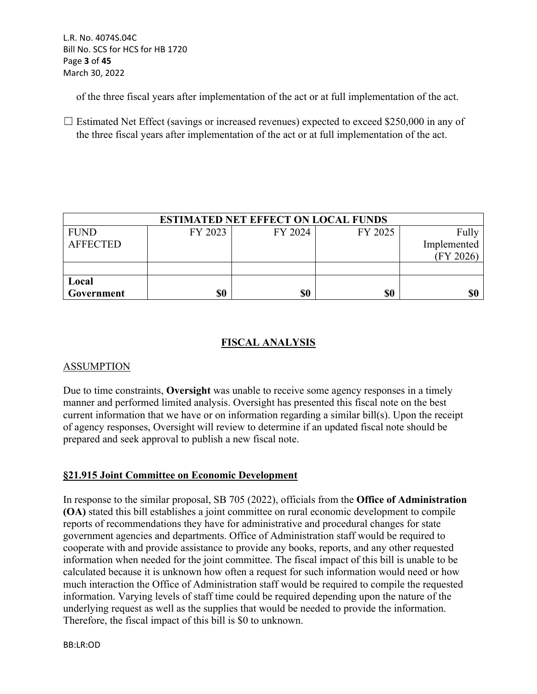of the three fiscal years after implementation of the act or at full implementation of the act.

 $\Box$  Estimated Net Effect (savings or increased revenues) expected to exceed \$250,000 in any of the three fiscal years after implementation of the act or at full implementation of the act.

| <b>ESTIMATED NET EFFECT ON LOCAL FUNDS</b> |         |         |         |             |  |  |
|--------------------------------------------|---------|---------|---------|-------------|--|--|
| <b>FUND</b>                                | FY 2023 | FY 2024 | FY 2025 | Fully       |  |  |
| <b>AFFECTED</b>                            |         |         |         | Implemented |  |  |
|                                            |         |         |         | (FY 2026)   |  |  |
|                                            |         |         |         |             |  |  |
| Local                                      |         |         |         |             |  |  |
| Government                                 | \$0     | \$0     | \$0     | \$0         |  |  |

# **FISCAL ANALYSIS**

## ASSUMPTION

Due to time constraints, **Oversight** was unable to receive some agency responses in a timely manner and performed limited analysis. Oversight has presented this fiscal note on the best current information that we have or on information regarding a similar bill(s). Upon the receipt of agency responses, Oversight will review to determine if an updated fiscal note should be prepared and seek approval to publish a new fiscal note.

## **§21.915 Joint Committee on Economic Development**

In response to the similar proposal, SB 705 (2022), officials from the **Office of Administration (OA)** stated this bill establishes a joint committee on rural economic development to compile reports of recommendations they have for administrative and procedural changes for state government agencies and departments. Office of Administration staff would be required to cooperate with and provide assistance to provide any books, reports, and any other requested information when needed for the joint committee. The fiscal impact of this bill is unable to be calculated because it is unknown how often a request for such information would need or how much interaction the Office of Administration staff would be required to compile the requested information. Varying levels of staff time could be required depending upon the nature of the underlying request as well as the supplies that would be needed to provide the information. Therefore, the fiscal impact of this bill is \$0 to unknown.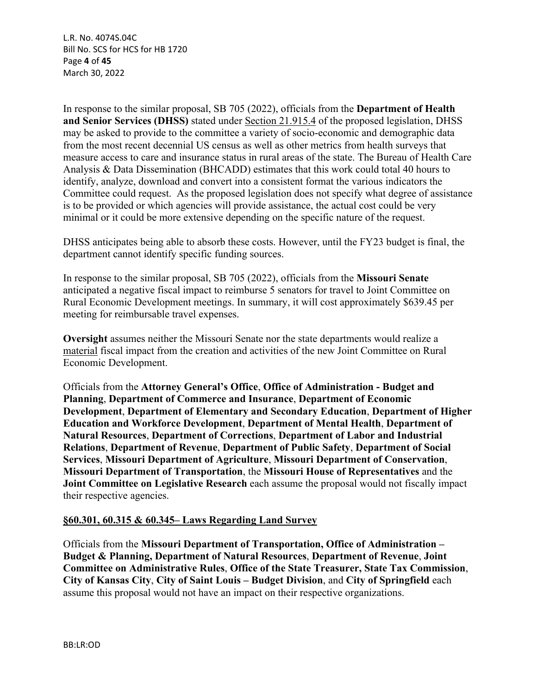L.R. No. 4074S.04C Bill No. SCS for HCS for HB 1720 Page **4** of **45** March 30, 2022

In response to the similar proposal, SB 705 (2022), officials from the **Department of Health and Senior Services (DHSS)** stated under Section 21.915.4 of the proposed legislation, DHSS may be asked to provide to the committee a variety of socio-economic and demographic data from the most recent decennial US census as well as other metrics from health surveys that measure access to care and insurance status in rural areas of the state. The Bureau of Health Care Analysis & Data Dissemination (BHCADD) estimates that this work could total 40 hours to identify, analyze, download and convert into a consistent format the various indicators the Committee could request. As the proposed legislation does not specify what degree of assistance is to be provided or which agencies will provide assistance, the actual cost could be very minimal or it could be more extensive depending on the specific nature of the request.

DHSS anticipates being able to absorb these costs. However, until the FY23 budget is final, the department cannot identify specific funding sources.

In response to the similar proposal, SB 705 (2022), officials from the **Missouri Senate** anticipated a negative fiscal impact to reimburse 5 senators for travel to Joint Committee on Rural Economic Development meetings. In summary, it will cost approximately \$639.45 per meeting for reimbursable travel expenses.

**Oversight** assumes neither the Missouri Senate nor the state departments would realize a material fiscal impact from the creation and activities of the new Joint Committee on Rural Economic Development.

Officials from the **Attorney General's Office**, **Office of Administration - Budget and Planning**, **Department of Commerce and Insurance**, **Department of Economic Development**, **Department of Elementary and Secondary Education**, **Department of Higher Education and Workforce Development**, **Department of Mental Health**, **Department of Natural Resources**, **Department of Corrections**, **Department of Labor and Industrial Relations**, **Department of Revenue**, **Department of Public Safety**, **Department of Social Services**, **Missouri Department of Agriculture**, **Missouri Department of Conservation**, **Missouri Department of Transportation**, the **Missouri House of Representatives** and the **Joint Committee on Legislative Research** each assume the proposal would not fiscally impact their respective agencies.

#### **§60.301, 60.315 & 60.345– Laws Regarding Land Survey**

Officials from the **Missouri Department of Transportation, Office of Administration – Budget & Planning, Department of Natural Resources**, **Department of Revenue**, **Joint Committee on Administrative Rules**, **Office of the State Treasurer, State Tax Commission**, **City of Kansas City**, **City of Saint Louis – Budget Division**, and **City of Springfield** each assume this proposal would not have an impact on their respective organizations.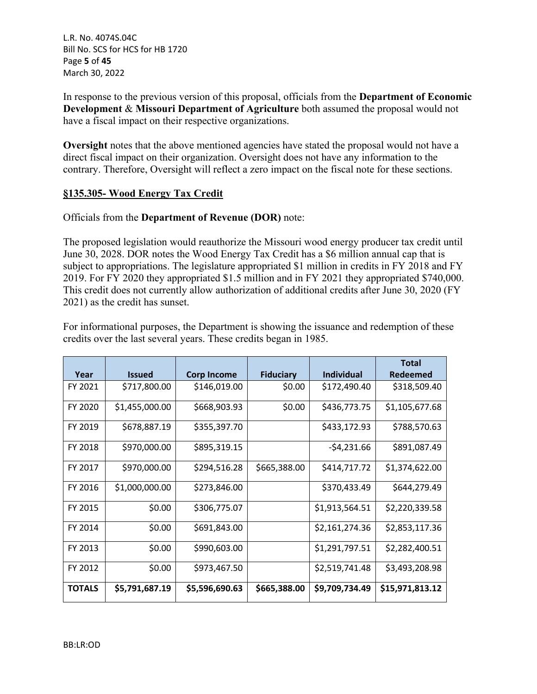L.R. No. 4074S.04C Bill No. SCS for HCS for HB 1720 Page **5** of **45** March 30, 2022

In response to the previous version of this proposal, officials from the **Department of Economic Development** & **Missouri Department of Agriculture** both assumed the proposal would not have a fiscal impact on their respective organizations.

**Oversight** notes that the above mentioned agencies have stated the proposal would not have a direct fiscal impact on their organization. Oversight does not have any information to the contrary. Therefore, Oversight will reflect a zero impact on the fiscal note for these sections.

#### **§135.305- Wood Energy Tax Credit**

#### Officials from the **Department of Revenue (DOR)** note:

The proposed legislation would reauthorize the Missouri wood energy producer tax credit until June 30, 2028. DOR notes the Wood Energy Tax Credit has a \$6 million annual cap that is subject to appropriations. The legislature appropriated \$1 million in credits in FY 2018 and FY 2019. For FY 2020 they appropriated \$1.5 million and in FY 2021 they appropriated \$740,000. This credit does not currently allow authorization of additional credits after June 30, 2020 (FY 2021) as the credit has sunset.

For informational purposes, the Department is showing the issuance and redemption of these credits over the last several years. These credits began in 1985.

|               |                |                    |                  |                   | <b>Total</b>    |
|---------------|----------------|--------------------|------------------|-------------------|-----------------|
| Year          | <b>Issued</b>  | <b>Corp Income</b> | <b>Fiduciary</b> | <b>Individual</b> | Redeemed        |
| FY 2021       | \$717,800.00   | \$146,019.00       | \$0.00           | \$172,490.40      | \$318,509.40    |
| FY 2020       | \$1,455,000.00 | \$668,903.93       | \$0.00           | \$436,773.75      | \$1,105,677.68  |
| FY 2019       | \$678,887.19   | \$355,397.70       |                  | \$433,172.93      | \$788,570.63    |
| FY 2018       | \$970,000.00   | \$895,319.15       |                  | $-54,231.66$      | \$891,087.49    |
| FY 2017       | \$970,000.00   | \$294,516.28       | \$665,388.00     | \$414,717.72      | \$1,374,622.00  |
| FY 2016       | \$1,000,000.00 | \$273,846.00       |                  | \$370,433.49      | \$644,279.49    |
| FY 2015       | \$0.00         | \$306,775.07       |                  | \$1,913,564.51    | \$2,220,339.58  |
| FY 2014       | \$0.00         | \$691,843.00       |                  | \$2,161,274.36    | \$2,853,117.36  |
| FY 2013       | \$0.00         | \$990,603.00       |                  | \$1,291,797.51    | \$2,282,400.51  |
| FY 2012       | \$0.00         | \$973,467.50       |                  | \$2,519,741.48    | \$3,493,208.98  |
| <b>TOTALS</b> | \$5,791,687.19 | \$5,596,690.63     | \$665,388.00     | \$9,709,734.49    | \$15,971,813.12 |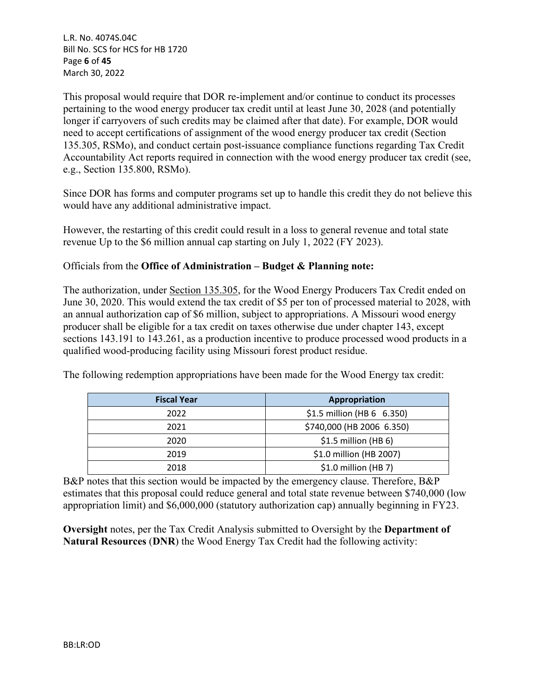L.R. No. 4074S.04C Bill No. SCS for HCS for HB 1720 Page **6** of **45** March 30, 2022

This proposal would require that DOR re-implement and/or continue to conduct its processes pertaining to the wood energy producer tax credit until at least June 30, 2028 (and potentially longer if carryovers of such credits may be claimed after that date). For example, DOR would need to accept certifications of assignment of the wood energy producer tax credit (Section 135.305, RSMo), and conduct certain post-issuance compliance functions regarding Tax Credit Accountability Act reports required in connection with the wood energy producer tax credit (see, e.g., Section 135.800, RSMo).

Since DOR has forms and computer programs set up to handle this credit they do not believe this would have any additional administrative impact.

However, the restarting of this credit could result in a loss to general revenue and total state revenue Up to the \$6 million annual cap starting on July 1, 2022 (FY 2023).

### Officials from the **Office of Administration – Budget & Planning note:**

The authorization, under Section 135.305, for the Wood Energy Producers Tax Credit ended on June 30, 2020. This would extend the tax credit of \$5 per ton of processed material to 2028, with an annual authorization cap of \$6 million, subject to appropriations. A Missouri wood energy producer shall be eligible for a tax credit on taxes otherwise due under chapter 143, except sections 143.191 to 143.261, as a production incentive to produce processed wood products in a qualified wood-producing facility using Missouri forest product residue.

The following redemption appropriations have been made for the Wood Energy tax credit:

| <b>Fiscal Year</b> | Appropriation              |  |
|--------------------|----------------------------|--|
| 2022               | \$1.5 million (HB 6 6.350) |  |
| 2021               | \$740,000 (HB 2006 6.350)  |  |
| 2020               | $$1.5$ million (HB 6)      |  |
| 2019               | \$1.0 million (HB 2007)    |  |
| 2018               | $$1.0$ million (HB 7)      |  |

B&P notes that this section would be impacted by the emergency clause. Therefore, B&P estimates that this proposal could reduce general and total state revenue between \$740,000 (low appropriation limit) and \$6,000,000 (statutory authorization cap) annually beginning in FY23.

**Oversight** notes, per the Tax Credit Analysis submitted to Oversight by the **Department of Natural Resources** (**DNR**) the Wood Energy Tax Credit had the following activity: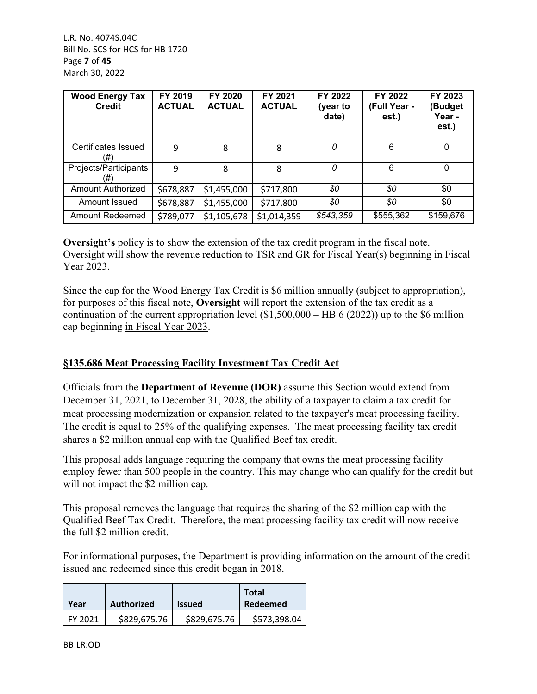L.R. No. 4074S.04C Bill No. SCS for HCS for HB 1720 Page **7** of **45** March 30, 2022

| <b>Wood Energy Tax</b><br><b>Credit</b> | FY 2019<br><b>ACTUAL</b> | FY 2020<br><b>ACTUAL</b> | FY 2021<br><b>ACTUAL</b> | FY 2022<br>(year to<br>date) | FY 2022<br>(Full Year -<br>est.) | FY 2023<br>(Budget<br>Year -<br>est.) |
|-----------------------------------------|--------------------------|--------------------------|--------------------------|------------------------------|----------------------------------|---------------------------------------|
| Certificates Issued<br>(#               | 9                        | 8                        | 8                        | 0                            | 6                                | 0                                     |
| Projects/Participants<br>(#)            | 9                        | 8                        | 8                        | 0                            | 6                                | $\Omega$                              |
| Amount Authorized                       | \$678,887                | \$1,455,000              | \$717,800                | \$0                          | \$0                              | \$0                                   |
| Amount Issued                           | \$678,887                | \$1,455,000              | \$717,800                | \$0                          | \$0                              | \$0                                   |
| <b>Amount Redeemed</b>                  | \$789,077                | \$1,105,678              | \$1,014,359              | \$543,359                    | \$555,362                        | \$159,676                             |

**Oversight's** policy is to show the extension of the tax credit program in the fiscal note. Oversight will show the revenue reduction to TSR and GR for Fiscal Year(s) beginning in Fiscal Year 2023.

Since the cap for the Wood Energy Tax Credit is \$6 million annually (subject to appropriation), for purposes of this fiscal note, **Oversight** will report the extension of the tax credit as a continuation of the current appropriation level  $(\$1,500,000 - HB 6 (2022))$  up to the \$6 million cap beginning in Fiscal Year 2023.

## **§135.686 Meat Processing Facility Investment Tax Credit Act**

Officials from the **Department of Revenue (DOR)** assume this Section would extend from December 31, 2021, to December 31, 2028, the ability of a taxpayer to claim a tax credit for meat processing modernization or expansion related to the taxpayer's meat processing facility. The credit is equal to 25% of the qualifying expenses. The meat processing facility tax credit shares a \$2 million annual cap with the Qualified Beef tax credit.

This proposal adds language requiring the company that owns the meat processing facility employ fewer than 500 people in the country. This may change who can qualify for the credit but will not impact the \$2 million cap.

This proposal removes the language that requires the sharing of the \$2 million cap with the Qualified Beef Tax Credit. Therefore, the meat processing facility tax credit will now receive the full \$2 million credit.

For informational purposes, the Department is providing information on the amount of the credit issued and redeemed since this credit began in 2018.

| Year    | Authorized   | <b>Issued</b> | <b>Total</b><br>Redeemed |
|---------|--------------|---------------|--------------------------|
| FY 2021 | \$829,675.76 | \$829,675.76  | \$573,398.04             |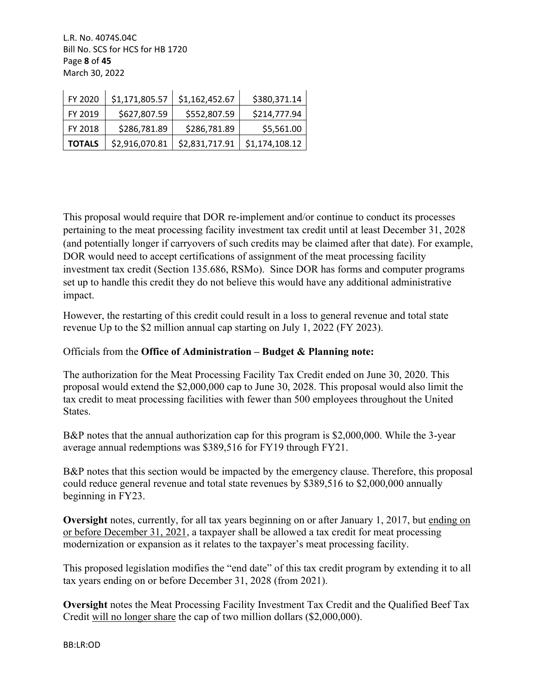L.R. No. 4074S.04C Bill No. SCS for HCS for HB 1720 Page **8** of **45** March 30, 2022

| FY 2020       | \$1,171,805.57 | \$1,162,452.67 | \$380,371.14   |
|---------------|----------------|----------------|----------------|
| FY 2019       | \$627,807.59   | \$552,807.59   | \$214,777.94   |
| FY 2018       | \$286,781.89   | \$286,781.89   | \$5,561.00     |
| <b>TOTALS</b> | \$2,916,070.81 | \$2,831,717.91 | \$1,174,108.12 |

This proposal would require that DOR re-implement and/or continue to conduct its processes pertaining to the meat processing facility investment tax credit until at least December 31, 2028 (and potentially longer if carryovers of such credits may be claimed after that date). For example, DOR would need to accept certifications of assignment of the meat processing facility investment tax credit (Section 135.686, RSMo). Since DOR has forms and computer programs set up to handle this credit they do not believe this would have any additional administrative impact.

However, the restarting of this credit could result in a loss to general revenue and total state revenue Up to the \$2 million annual cap starting on July 1, 2022 (FY 2023).

## Officials from the **Office of Administration – Budget & Planning note:**

The authorization for the Meat Processing Facility Tax Credit ended on June 30, 2020. This proposal would extend the \$2,000,000 cap to June 30, 2028. This proposal would also limit the tax credit to meat processing facilities with fewer than 500 employees throughout the United States.

B&P notes that the annual authorization cap for this program is \$2,000,000. While the 3-year average annual redemptions was \$389,516 for FY19 through FY21.

B&P notes that this section would be impacted by the emergency clause. Therefore, this proposal could reduce general revenue and total state revenues by \$389,516 to \$2,000,000 annually beginning in FY23.

**Oversight** notes, currently, for all tax years beginning on or after January 1, 2017, but ending on or before December 31, 2021, a taxpayer shall be allowed a tax credit for meat processing modernization or expansion as it relates to the taxpayer's meat processing facility.

This proposed legislation modifies the "end date" of this tax credit program by extending it to all tax years ending on or before December 31, 2028 (from 2021).

**Oversight** notes the Meat Processing Facility Investment Tax Credit and the Qualified Beef Tax Credit will no longer share the cap of two million dollars (\$2,000,000).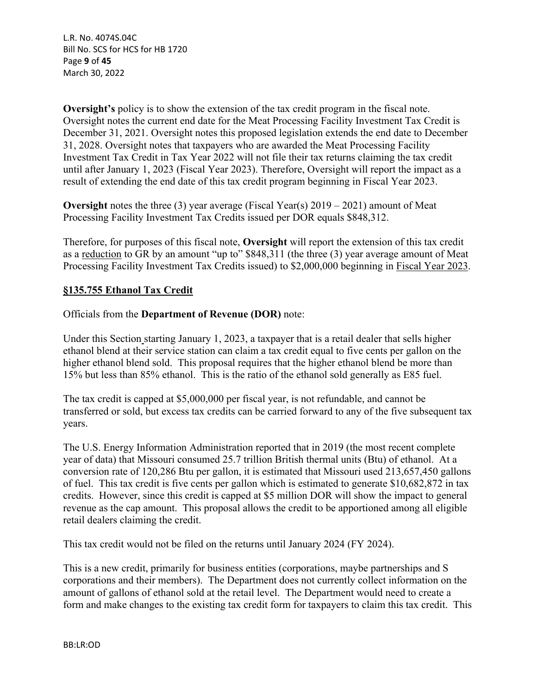L.R. No. 4074S.04C Bill No. SCS for HCS for HB 1720 Page **9** of **45** March 30, 2022

**Oversight's** policy is to show the extension of the tax credit program in the fiscal note. Oversight notes the current end date for the Meat Processing Facility Investment Tax Credit is December 31, 2021. Oversight notes this proposed legislation extends the end date to December 31, 2028. Oversight notes that taxpayers who are awarded the Meat Processing Facility Investment Tax Credit in Tax Year 2022 will not file their tax returns claiming the tax credit until after January 1, 2023 (Fiscal Year 2023). Therefore, Oversight will report the impact as a result of extending the end date of this tax credit program beginning in Fiscal Year 2023.

**Oversight** notes the three (3) year average (Fiscal Year(s) 2019 – 2021) amount of Meat Processing Facility Investment Tax Credits issued per DOR equals \$848,312.

Therefore, for purposes of this fiscal note, **Oversight** will report the extension of this tax credit as a reduction to GR by an amount "up to" \$848,311 (the three (3) year average amount of Meat Processing Facility Investment Tax Credits issued) to \$2,000,000 beginning in Fiscal Year 2023.

### **§135.755 Ethanol Tax Credit**

#### Officials from the **Department of Revenue (DOR)** note:

Under this Section starting January 1, 2023, a taxpayer that is a retail dealer that sells higher ethanol blend at their service station can claim a tax credit equal to five cents per gallon on the higher ethanol blend sold. This proposal requires that the higher ethanol blend be more than 15% but less than 85% ethanol. This is the ratio of the ethanol sold generally as E85 fuel.

The tax credit is capped at \$5,000,000 per fiscal year, is not refundable, and cannot be transferred or sold, but excess tax credits can be carried forward to any of the five subsequent tax years.

The U.S. Energy Information Administration reported that in 2019 (the most recent complete year of data) that Missouri consumed 25.7 trillion British thermal units (Btu) of ethanol. At a conversion rate of 120,286 Btu per gallon, it is estimated that Missouri used 213,657,450 gallons of fuel. This tax credit is five cents per gallon which is estimated to generate \$10,682,872 in tax credits. However, since this credit is capped at \$5 million DOR will show the impact to general revenue as the cap amount. This proposal allows the credit to be apportioned among all eligible retail dealers claiming the credit.

This tax credit would not be filed on the returns until January 2024 (FY 2024).

This is a new credit, primarily for business entities (corporations, maybe partnerships and S corporations and their members). The Department does not currently collect information on the amount of gallons of ethanol sold at the retail level. The Department would need to create a form and make changes to the existing tax credit form for taxpayers to claim this tax credit. This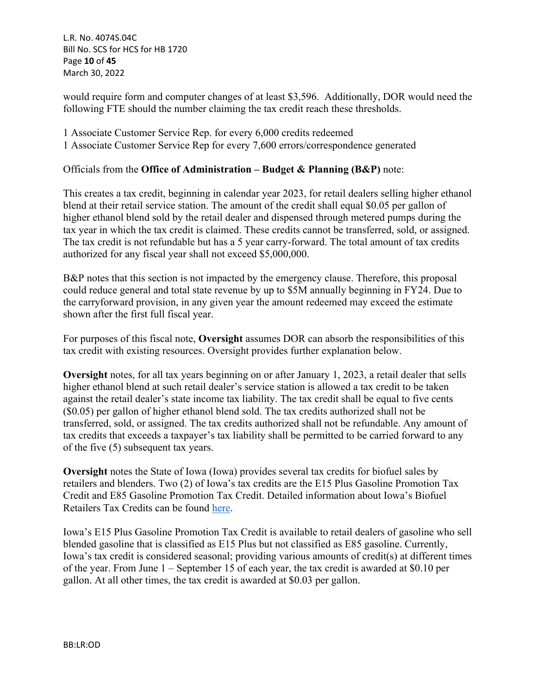L.R. No. 4074S.04C Bill No. SCS for HCS for HB 1720 Page **10** of **45** March 30, 2022

would require form and computer changes of at least \$3,596. Additionally, DOR would need the following FTE should the number claiming the tax credit reach these thresholds.

1 Associate Customer Service Rep. for every 6,000 credits redeemed

1 Associate Customer Service Rep for every 7,600 errors/correspondence generated

## Officials from the **Office of Administration – Budget & Planning (B&P)** note:

This creates a tax credit, beginning in calendar year 2023, for retail dealers selling higher ethanol blend at their retail service station. The amount of the credit shall equal \$0.05 per gallon of higher ethanol blend sold by the retail dealer and dispensed through metered pumps during the tax year in which the tax credit is claimed. These credits cannot be transferred, sold, or assigned. The tax credit is not refundable but has a 5 year carry-forward. The total amount of tax credits authorized for any fiscal year shall not exceed \$5,000,000.

B&P notes that this section is not impacted by the emergency clause. Therefore, this proposal could reduce general and total state revenue by up to \$5M annually beginning in FY24. Due to the carryforward provision, in any given year the amount redeemed may exceed the estimate shown after the first full fiscal year.

For purposes of this fiscal note, **Oversight** assumes DOR can absorb the responsibilities of this tax credit with existing resources. Oversight provides further explanation below.

**Oversight** notes, for all tax years beginning on or after January 1, 2023, a retail dealer that sells higher ethanol blend at such retail dealer's service station is allowed a tax credit to be taken against the retail dealer's state income tax liability. The tax credit shall be equal to five cents (\$0.05) per gallon of higher ethanol blend sold. The tax credits authorized shall not be transferred, sold, or assigned. The tax credits authorized shall not be refundable. Any amount of tax credits that exceeds a taxpayer's tax liability shall be permitted to be carried forward to any of the five (5) subsequent tax years.

**Oversight** notes the State of Iowa (Iowa) provides several tax credits for biofuel sales by retailers and blenders. Two (2) of Iowa's tax credits are the E15 Plus Gasoline Promotion Tax Credit and E85 Gasoline Promotion Tax Credit. Detailed information about Iowa's Biofuel Retailers Tax Credits can be found [here.](https://tax.iowa.gov/sites/default/files/2020-06/Iowa%20Biofuel%20Retailer%20Tax%20Credits%20Evaluation%20Study%202019.pdf)

Iowa's E15 Plus Gasoline Promotion Tax Credit is available to retail dealers of gasoline who sell blended gasoline that is classified as E15 Plus but not classified as E85 gasoline. Currently, Iowa's tax credit is considered seasonal; providing various amounts of credit(s) at different times of the year. From June 1 – September 15 of each year, the tax credit is awarded at \$0.10 per gallon. At all other times, the tax credit is awarded at \$0.03 per gallon.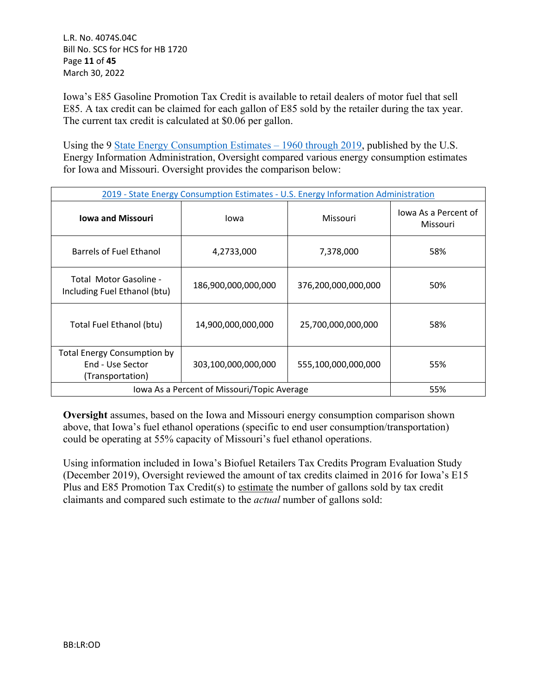L.R. No. 4074S.04C Bill No. SCS for HCS for HB 1720 Page **11** of **45** March 30, 2022

Iowa's E85 Gasoline Promotion Tax Credit is available to retail dealers of motor fuel that sell E85. A tax credit can be claimed for each gallon of E85 sold by the retailer during the tax year. The current tax credit is calculated at \$0.06 per gallon.

Using the 9 State Energy Consumption Estimates – 1960 through 2019, published by the U.S. Energy Information Administration, Oversight compared various energy consumption estimates for Iowa and Missouri. Oversight provides the comparison below:

| 2019 - State Energy Consumption Estimates - U.S. Energy Information Administration |                                             |                     |                                  |  |  |
|------------------------------------------------------------------------------------|---------------------------------------------|---------------------|----------------------------------|--|--|
| <b>Iowa and Missouri</b>                                                           | Iowa                                        | Missouri            | lowa As a Percent of<br>Missouri |  |  |
| Barrels of Fuel Ethanol                                                            | 4,2733,000                                  | 7,378,000           | 58%                              |  |  |
| Total Motor Gasoline -<br>Including Fuel Ethanol (btu)                             | 186,900,000,000,000                         |                     | 50%                              |  |  |
| Total Fuel Ethanol (btu)                                                           | 14,900,000,000,000                          | 25,700,000,000,000  | 58%                              |  |  |
| <b>Total Energy Consumption by</b><br>End - Use Sector<br>(Transportation)         | 303,100,000,000,000                         | 555,100,000,000,000 | 55%                              |  |  |
|                                                                                    | Iowa As a Percent of Missouri/Topic Average |                     | 55%                              |  |  |

**Oversight** assumes, based on the Iowa and Missouri energy consumption comparison shown above, that Iowa's fuel ethanol operations (specific to end user consumption/transportation) could be operating at 55% capacity of Missouri's fuel ethanol operations.

Using information included in Iowa's Biofuel Retailers Tax Credits Program Evaluation Study (December 2019), Oversight reviewed the amount of tax credits claimed in 2016 for Iowa's E15 Plus and E85 Promotion Tax Credit(s) to estimate the number of gallons sold by tax credit claimants and compared such estimate to the *actual* number of gallons sold: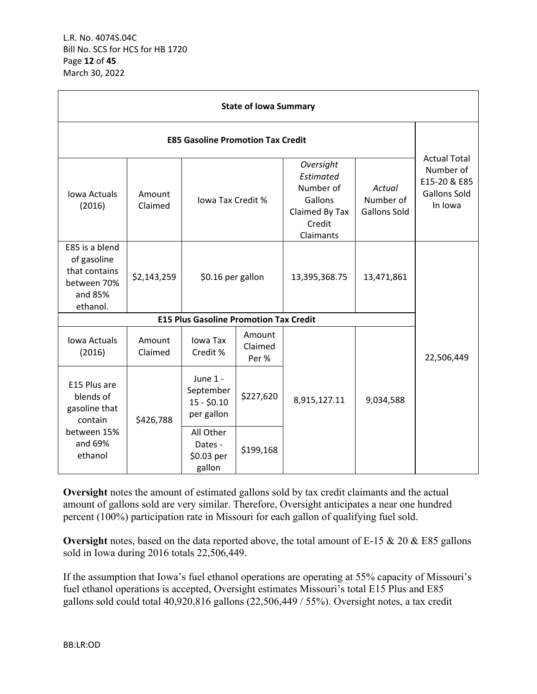| <b>State of Iowa Summary</b>                                                         |                   |                                                     |                            |                                                                                         |                                            |                                                                                    |  |
|--------------------------------------------------------------------------------------|-------------------|-----------------------------------------------------|----------------------------|-----------------------------------------------------------------------------------------|--------------------------------------------|------------------------------------------------------------------------------------|--|
| <b>E85 Gasoline Promotion Tax Credit</b>                                             |                   |                                                     |                            |                                                                                         |                                            |                                                                                    |  |
| <b>Iowa Actuals</b><br>(2016)                                                        | Amount<br>Claimed | lowa Tax Credit %                                   |                            | Oversight<br>Estimated<br>Number of<br>Gallons<br>Claimed By Tax<br>Credit<br>Claimants | Actual<br>Number of<br><b>Gallons Sold</b> | <b>Actual Total</b><br>Number of<br>E15-20 & E85<br><b>Gallons Sold</b><br>In Iowa |  |
| E85 is a blend<br>of gasoline<br>that contains<br>between 70%<br>and 85%<br>ethanol. | \$2,143,259       | \$0.16 per gallon                                   |                            | 13,395,368.75                                                                           | 13,471,861                                 |                                                                                    |  |
|                                                                                      |                   | <b>E15 Plus Gasoline Promotion Tax Credit</b>       |                            |                                                                                         |                                            |                                                                                    |  |
| Iowa Actuals<br>(2016)                                                               | Amount<br>Claimed | Iowa Tax<br>Credit %                                | Amount<br>Claimed<br>Per % |                                                                                         |                                            | 22,506,449                                                                         |  |
| E15 Plus are<br>blends of<br>gasoline that<br>contain                                | \$426,788         | June 1 -<br>September<br>$15 - $0.10$<br>per gallon | \$227,620                  | 8,915,127.11                                                                            | 9,034,588                                  |                                                                                    |  |
| between 15%<br>and 69%<br>ethanol                                                    |                   | All Other<br>Dates -<br>\$0.03 per<br>gallon        | \$199,168                  |                                                                                         |                                            |                                                                                    |  |

**Oversight** notes the amount of estimated gallons sold by tax credit claimants and the actual amount of gallons sold are very similar. Therefore, Oversight anticipates a near one hundred percent (100%) participation rate in Missouri for each gallon of qualifying fuel sold.

**Oversight** notes, based on the data reported above, the total amount of E-15 & 20 & E85 gallons sold in Iowa during 2016 totals 22,506,449.

If the assumption that Iowa's fuel ethanol operations are operating at 55% capacity of Missouri's fuel ethanol operations is accepted, Oversight estimates Missouri's total E15 Plus and E85 gallons sold could total 40,920,816 gallons (22,506,449 / 55%). Oversight notes, a tax credit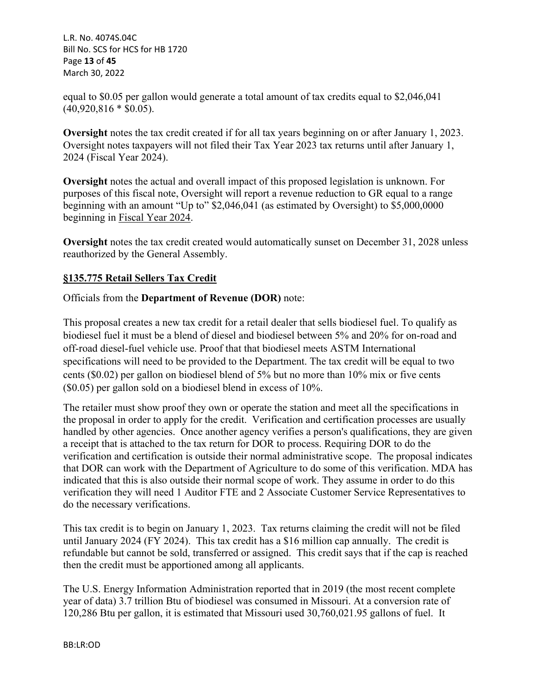L.R. No. 4074S.04C Bill No. SCS for HCS for HB 1720 Page **13** of **45** March 30, 2022

equal to \$0.05 per gallon would generate a total amount of tax credits equal to \$2,046,041  $(40,920,816 * $0.05)$ .

**Oversight** notes the tax credit created if for all tax years beginning on or after January 1, 2023. Oversight notes taxpayers will not filed their Tax Year 2023 tax returns until after January 1, 2024 (Fiscal Year 2024).

**Oversight** notes the actual and overall impact of this proposed legislation is unknown. For purposes of this fiscal note, Oversight will report a revenue reduction to GR equal to a range beginning with an amount "Up to" \$2,046,041 (as estimated by Oversight) to \$5,000,0000 beginning in Fiscal Year 2024.

**Oversight** notes the tax credit created would automatically sunset on December 31, 2028 unless reauthorized by the General Assembly.

# **§135.775 Retail Sellers Tax Credit**

### Officials from the **Department of Revenue (DOR)** note:

This proposal creates a new tax credit for a retail dealer that sells biodiesel fuel. To qualify as biodiesel fuel it must be a blend of diesel and biodiesel between 5% and 20% for on-road and off-road diesel-fuel vehicle use. Proof that that biodiesel meets ASTM International specifications will need to be provided to the Department. The tax credit will be equal to two cents (\$0.02) per gallon on biodiesel blend of 5% but no more than 10% mix or five cents (\$0.05) per gallon sold on a biodiesel blend in excess of 10%.

The retailer must show proof they own or operate the station and meet all the specifications in the proposal in order to apply for the credit. Verification and certification processes are usually handled by other agencies. Once another agency verifies a person's qualifications, they are given a receipt that is attached to the tax return for DOR to process. Requiring DOR to do the verification and certification is outside their normal administrative scope. The proposal indicates that DOR can work with the Department of Agriculture to do some of this verification. MDA has indicated that this is also outside their normal scope of work. They assume in order to do this verification they will need 1 Auditor FTE and 2 Associate Customer Service Representatives to do the necessary verifications.

This tax credit is to begin on January 1, 2023. Tax returns claiming the credit will not be filed until January 2024 (FY 2024). This tax credit has a \$16 million cap annually. The credit is refundable but cannot be sold, transferred or assigned. This credit says that if the cap is reached then the credit must be apportioned among all applicants.

The U.S. Energy Information Administration reported that in 2019 (the most recent complete year of data) 3.7 trillion Btu of biodiesel was consumed in Missouri. At a conversion rate of 120,286 Btu per gallon, it is estimated that Missouri used 30,760,021.95 gallons of fuel. It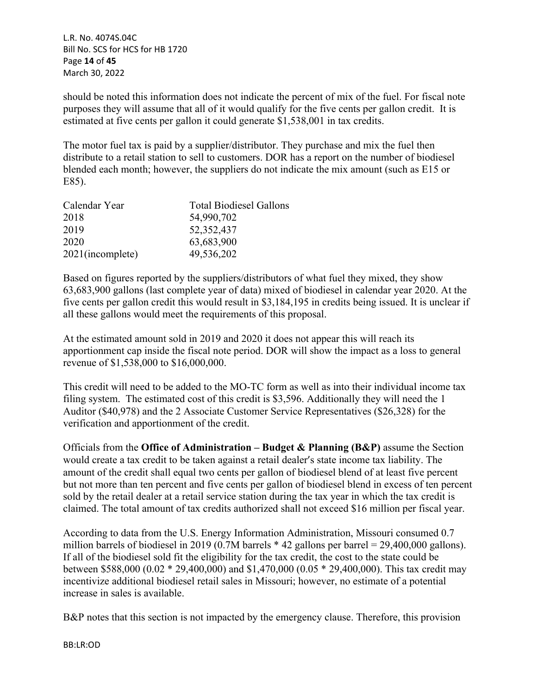L.R. No. 4074S.04C Bill No. SCS for HCS for HB 1720 Page **14** of **45** March 30, 2022

should be noted this information does not indicate the percent of mix of the fuel. For fiscal note purposes they will assume that all of it would qualify for the five cents per gallon credit. It is estimated at five cents per gallon it could generate \$1,538,001 in tax credits.

The motor fuel tax is paid by a supplier/distributor. They purchase and mix the fuel then distribute to a retail station to sell to customers. DOR has a report on the number of biodiesel blended each month; however, the suppliers do not indicate the mix amount (such as E15 or E85).

| <b>Total Biodiesel Gallons</b> |
|--------------------------------|
| 54,990,702                     |
| 52, 352, 437                   |
| 63,683,900                     |
| 49,536,202                     |
|                                |

Based on figures reported by the suppliers/distributors of what fuel they mixed, they show 63,683,900 gallons (last complete year of data) mixed of biodiesel in calendar year 2020. At the five cents per gallon credit this would result in \$3,184,195 in credits being issued. It is unclear if all these gallons would meet the requirements of this proposal.

At the estimated amount sold in 2019 and 2020 it does not appear this will reach its apportionment cap inside the fiscal note period. DOR will show the impact as a loss to general revenue of \$1,538,000 to \$16,000,000.

This credit will need to be added to the MO-TC form as well as into their individual income tax filing system. The estimated cost of this credit is \$3,596. Additionally they will need the 1 Auditor (\$40,978) and the 2 Associate Customer Service Representatives (\$26,328) for the verification and apportionment of the credit.

Officials from the **Office of Administration – Budget & Planning (B&P)** assume the Section would create a tax credit to be taken against a retail dealer's state income tax liability. The amount of the credit shall equal two cents per gallon of biodiesel blend of at least five percent but not more than ten percent and five cents per gallon of biodiesel blend in excess of ten percent sold by the retail dealer at a retail service station during the tax year in which the tax credit is claimed. The total amount of tax credits authorized shall not exceed \$16 million per fiscal year.

According to data from the U.S. Energy Information Administration, Missouri consumed 0.7 million barrels of biodiesel in 2019 (0.7M barrels \* 42 gallons per barrel = 29,400,000 gallons). If all of the biodiesel sold fit the eligibility for the tax credit, the cost to the state could be between \$588,000 (0.02 \* 29,400,000) and \$1,470,000 (0.05 \* 29,400,000). This tax credit may incentivize additional biodiesel retail sales in Missouri; however, no estimate of a potential increase in sales is available.

B&P notes that this section is not impacted by the emergency clause. Therefore, this provision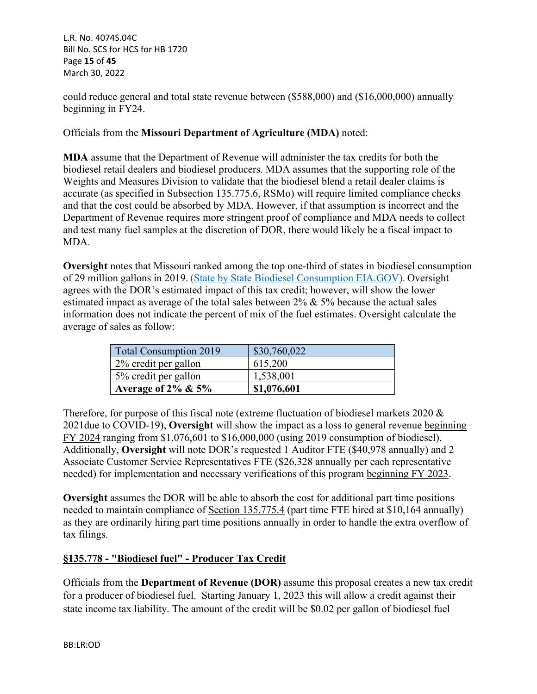L.R. No. 4074S.04C Bill No. SCS for HCS for HB 1720 Page **15** of **45** March 30, 2022

could reduce general and total state revenue between (\$588,000) and (\$16,000,000) annually beginning in FY24.

### Officials from the **Missouri Department of Agriculture (MDA)** noted:

**MDA** assume that the Department of Revenue will administer the tax credits for both the biodiesel retail dealers and biodiesel producers. MDA assumes that the supporting role of the Weights and Measures Division to validate that the biodiesel blend a retail dealer claims is accurate (as specified in Subsection 135.775.6, RSMo) will require limited compliance checks and that the cost could be absorbed by MDA. However, if that assumption is incorrect and the Department of Revenue requires more stringent proof of compliance and MDA needs to collect and test many fuel samples at the discretion of DOR, there would likely be a fiscal impact to MDA.

**Oversight** notes that Missouri ranked among the top one-third of states in biodiesel consumption of 29 million gallons in 2019. [\(State by State Biodiesel Consumption EIA.GOV](https://www.eia.gov/state/analysis.php?sid=MO)). Oversight agrees with the DOR's estimated impact of this tax credit; however, will show the lower estimated impact as average of the total sales between  $2\% \& 5\%$  because the actual sales information does not indicate the percent of mix of the fuel estimates. Oversight calculate the average of sales as follow:

| <b>Total Consumption 2019</b> | \$30,760,022 |
|-------------------------------|--------------|
| 2% credit per gallon          | 615,200      |
| 5% credit per gallon          | 1,538,001    |
| Average of $2\% \& 5\%$       | \$1,076,601  |

Therefore, for purpose of this fiscal note (extreme fluctuation of biodiesel markets 2020 & 2021due to COVID-19), **Oversight** will show the impact as a loss to general revenue beginning FY 2024 ranging from \$1,076,601 to \$16,000,000 (using 2019 consumption of biodiesel). Additionally, **Oversight** will note DOR's requested 1 Auditor FTE (\$40,978 annually) and 2 Associate Customer Service Representatives FTE (\$26,328 annually per each representative needed) for implementation and necessary verifications of this program beginning FY 2023.

**Oversight** assumes the DOR will be able to absorb the cost for additional part time positions needed to maintain compliance of Section 135.775.4 (part time FTE hired at \$10,164 annually) as they are ordinarily hiring part time positions annually in order to handle the extra overflow of tax filings.

### **§135.778 - "Biodiesel fuel" - Producer Tax Credit**

Officials from the **Department of Revenue (DOR)** assume this proposal creates a new tax credit for a producer of biodiesel fuel. Starting January 1, 2023 this will allow a credit against their state income tax liability. The amount of the credit will be \$0.02 per gallon of biodiesel fuel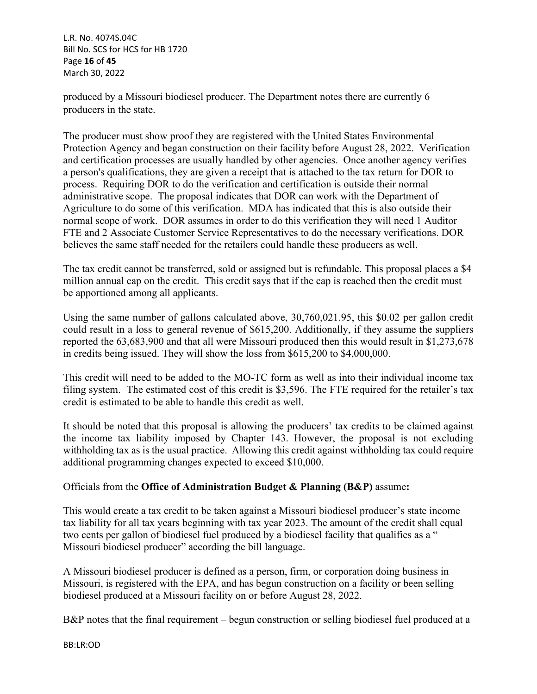L.R. No. 4074S.04C Bill No. SCS for HCS for HB 1720 Page **16** of **45** March 30, 2022

produced by a Missouri biodiesel producer. The Department notes there are currently 6 producers in the state.

The producer must show proof they are registered with the United States Environmental Protection Agency and began construction on their facility before August 28, 2022. Verification and certification processes are usually handled by other agencies. Once another agency verifies a person's qualifications, they are given a receipt that is attached to the tax return for DOR to process. Requiring DOR to do the verification and certification is outside their normal administrative scope. The proposal indicates that DOR can work with the Department of Agriculture to do some of this verification. MDA has indicated that this is also outside their normal scope of work. DOR assumes in order to do this verification they will need 1 Auditor FTE and 2 Associate Customer Service Representatives to do the necessary verifications. DOR believes the same staff needed for the retailers could handle these producers as well.

The tax credit cannot be transferred, sold or assigned but is refundable. This proposal places a \$4 million annual cap on the credit. This credit says that if the cap is reached then the credit must be apportioned among all applicants.

Using the same number of gallons calculated above, 30,760,021.95, this \$0.02 per gallon credit could result in a loss to general revenue of \$615,200. Additionally, if they assume the suppliers reported the 63,683,900 and that all were Missouri produced then this would result in \$1,273,678 in credits being issued. They will show the loss from \$615,200 to \$4,000,000.

This credit will need to be added to the MO-TC form as well as into their individual income tax filing system. The estimated cost of this credit is \$3,596. The FTE required for the retailer's tax credit is estimated to be able to handle this credit as well.

It should be noted that this proposal is allowing the producers' tax credits to be claimed against the income tax liability imposed by Chapter 143. However, the proposal is not excluding withholding tax as is the usual practice. Allowing this credit against withholding tax could require additional programming changes expected to exceed \$10,000.

## Officials from the **Office of Administration Budget & Planning (B&P)** assume**:**

This would create a tax credit to be taken against a Missouri biodiesel producer's state income tax liability for all tax years beginning with tax year 2023. The amount of the credit shall equal two cents per gallon of biodiesel fuel produced by a biodiesel facility that qualifies as a " Missouri biodiesel producer" according the bill language.

A Missouri biodiesel producer is defined as a person, firm, or corporation doing business in Missouri, is registered with the EPA, and has begun construction on a facility or been selling biodiesel produced at a Missouri facility on or before August 28, 2022.

B&P notes that the final requirement – begun construction or selling biodiesel fuel produced at a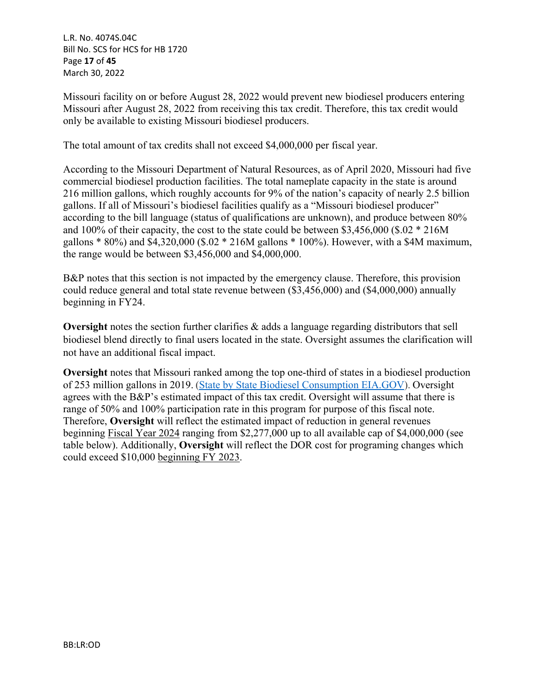L.R. No. 4074S.04C Bill No. SCS for HCS for HB 1720 Page **17** of **45** March 30, 2022

Missouri facility on or before August 28, 2022 would prevent new biodiesel producers entering Missouri after August 28, 2022 from receiving this tax credit. Therefore, this tax credit would only be available to existing Missouri biodiesel producers.

The total amount of tax credits shall not exceed \$4,000,000 per fiscal year.

According to the Missouri Department of Natural Resources, as of April 2020, Missouri had five commercial biodiesel production facilities. The total nameplate capacity in the state is around 216 million gallons, which roughly accounts for 9% of the nation's capacity of nearly 2.5 billion gallons. If all of Missouri's biodiesel facilities qualify as a "Missouri biodiesel producer" according to the bill language (status of qualifications are unknown), and produce between 80% and 100% of their capacity, the cost to the state could be between \$3,456,000 (\$.02 \* 216M gallons \* 80%) and \$4,320,000 (\$.02 \* 216M gallons \* 100%). However, with a \$4M maximum, the range would be between \$3,456,000 and \$4,000,000.

B&P notes that this section is not impacted by the emergency clause. Therefore, this provision could reduce general and total state revenue between (\$3,456,000) and (\$4,000,000) annually beginning in FY24.

**Oversight** notes the section further clarifies & adds a language regarding distributors that sell biodiesel blend directly to final users located in the state. Oversight assumes the clarification will not have an additional fiscal impact.

**Oversight** notes that Missouri ranked among the top one-third of states in a biodiesel production of 253 million gallons in 2019. [\(State by State Biodiesel Consumption EIA.GOV](https://www.eia.gov/state/analysis.php?sid=MO)). Oversight agrees with the B&P's estimated impact of this tax credit. Oversight will assume that there is range of 50% and 100% participation rate in this program for purpose of this fiscal note. Therefore, **Oversight** will reflect the estimated impact of reduction in general revenues beginning Fiscal Year 2024 ranging from \$2,277,000 up to all available cap of \$4,000,000 (see table below). Additionally, **Oversight** will reflect the DOR cost for programing changes which could exceed \$10,000 beginning FY 2023.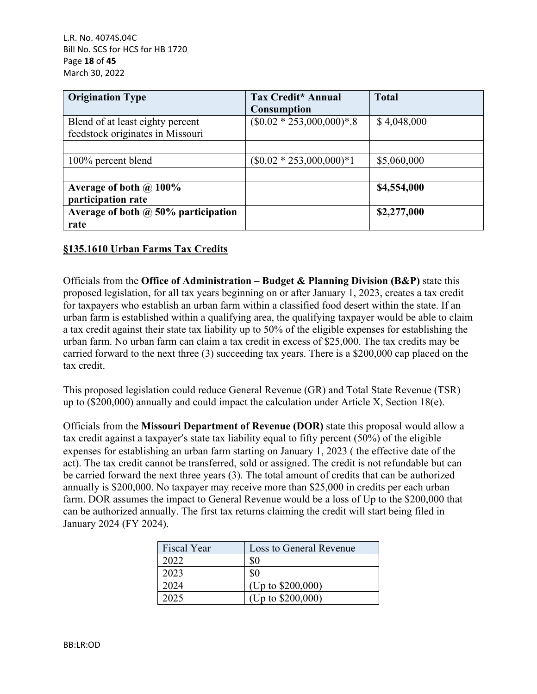L.R. No. 4074S.04C Bill No. SCS for HCS for HB 1720 Page **18** of **45** March 30, 2022

| <b>Origination Type</b>                                              | Tax Credit* Annual<br><b>Consumption</b> | <b>Total</b> |
|----------------------------------------------------------------------|------------------------------------------|--------------|
| Blend of at least eighty percent<br>feedstock originates in Missouri | $($0.02 * 253,000,000)*$ .8              | \$4,048,000  |
| 100% percent blend                                                   | $(\$0.02 * 253,000,000)*1$               | \$5,060,000  |
| Average of both $\omega$ 100%<br>participation rate                  |                                          | \$4,554,000  |
| Average of both $\omega$ 50% participation<br>rate                   |                                          | \$2,277,000  |

### **§135.1610 Urban Farms Tax Credits**

Officials from the **Office of Administration – Budget & Planning Division (B&P)** state this proposed legislation, for all tax years beginning on or after January 1, 2023, creates a tax credit for taxpayers who establish an urban farm within a classified food desert within the state. If an urban farm is established within a qualifying area, the qualifying taxpayer would be able to claim a tax credit against their state tax liability up to 50% of the eligible expenses for establishing the urban farm. No urban farm can claim a tax credit in excess of \$25,000. The tax credits may be carried forward to the next three (3) succeeding tax years. There is a \$200,000 cap placed on the tax credit.

This proposed legislation could reduce General Revenue (GR) and Total State Revenue (TSR) up to (\$200,000) annually and could impact the calculation under Article X, Section 18(e).

Officials from the **Missouri Department of Revenue (DOR)** state this proposal would allow a tax credit against a taxpayer's state tax liability equal to fifty percent (50%) of the eligible expenses for establishing an urban farm starting on January 1, 2023 ( the effective date of the act). The tax credit cannot be transferred, sold or assigned. The credit is not refundable but can be carried forward the next three years (3). The total amount of credits that can be authorized annually is \$200,000. No taxpayer may receive more than \$25,000 in credits per each urban farm. DOR assumes the impact to General Revenue would be a loss of Up to the \$200,000 that can be authorized annually. The first tax returns claiming the credit will start being filed in January 2024 (FY 2024).

| <b>Fiscal Year</b> | Loss to General Revenue |
|--------------------|-------------------------|
| 2022               | \$0                     |
| 2023               | \$0                     |
| 2024               | (Up to $$200,000$ )     |
| 2025               | (Up to \$200,000)       |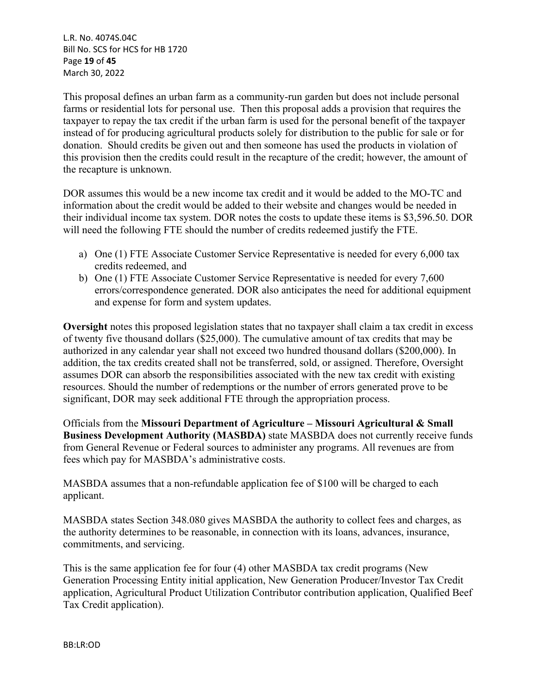L.R. No. 4074S.04C Bill No. SCS for HCS for HB 1720 Page **19** of **45** March 30, 2022

This proposal defines an urban farm as a community-run garden but does not include personal farms or residential lots for personal use. Then this proposal adds a provision that requires the taxpayer to repay the tax credit if the urban farm is used for the personal benefit of the taxpayer instead of for producing agricultural products solely for distribution to the public for sale or for donation. Should credits be given out and then someone has used the products in violation of this provision then the credits could result in the recapture of the credit; however, the amount of the recapture is unknown.

DOR assumes this would be a new income tax credit and it would be added to the MO-TC and information about the credit would be added to their website and changes would be needed in their individual income tax system. DOR notes the costs to update these items is \$3,596.50. DOR will need the following FTE should the number of credits redeemed justify the FTE.

- a) One (1) FTE Associate Customer Service Representative is needed for every 6,000 tax credits redeemed, and
- b) One (1) FTE Associate Customer Service Representative is needed for every 7,600 errors/correspondence generated. DOR also anticipates the need for additional equipment and expense for form and system updates.

**Oversight** notes this proposed legislation states that no taxpayer shall claim a tax credit in excess of twenty five thousand dollars (\$25,000). The cumulative amount of tax credits that may be authorized in any calendar year shall not exceed two hundred thousand dollars (\$200,000). In addition, the tax credits created shall not be transferred, sold, or assigned. Therefore, Oversight assumes DOR can absorb the responsibilities associated with the new tax credit with existing resources. Should the number of redemptions or the number of errors generated prove to be significant, DOR may seek additional FTE through the appropriation process.

Officials from the **Missouri Department of Agriculture – Missouri Agricultural & Small Business Development Authority (MASBDA)** state MASBDA does not currently receive funds from General Revenue or Federal sources to administer any programs. All revenues are from fees which pay for MASBDA's administrative costs.

MASBDA assumes that a non-refundable application fee of \$100 will be charged to each applicant.

MASBDA states Section 348.080 gives MASBDA the authority to collect fees and charges, as the authority determines to be reasonable, in connection with its loans, advances, insurance, commitments, and servicing.

This is the same application fee for four (4) other MASBDA tax credit programs (New Generation Processing Entity initial application, New Generation Producer/Investor Tax Credit application, Agricultural Product Utilization Contributor contribution application, Qualified Beef Tax Credit application).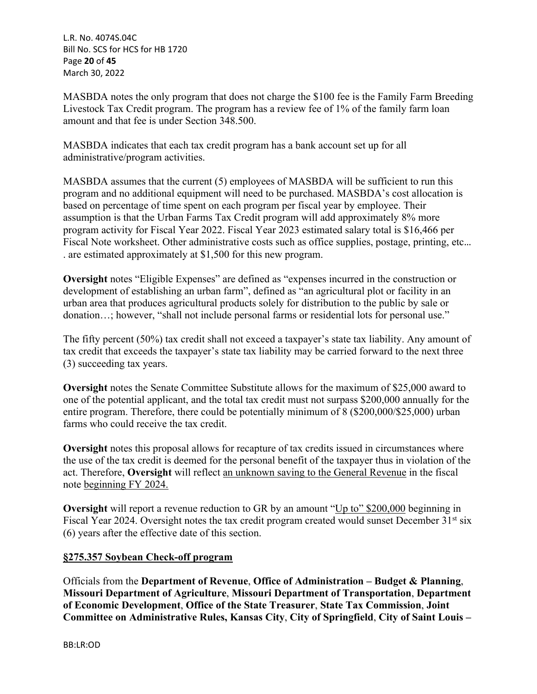L.R. No. 4074S.04C Bill No. SCS for HCS for HB 1720 Page **20** of **45** March 30, 2022

MASBDA notes the only program that does not charge the \$100 fee is the Family Farm Breeding Livestock Tax Credit program. The program has a review fee of 1% of the family farm loan amount and that fee is under Section 348.500.

MASBDA indicates that each tax credit program has a bank account set up for all administrative/program activities.

MASBDA assumes that the current (5) employees of MASBDA will be sufficient to run this program and no additional equipment will need to be purchased. MASBDA's cost allocation is based on percentage of time spent on each program per fiscal year by employee. Their assumption is that the Urban Farms Tax Credit program will add approximately 8% more program activity for Fiscal Year 2022. Fiscal Year 2023 estimated salary total is \$16,466 per Fiscal Note worksheet. Other administrative costs such as office supplies, postage, printing, etc… . are estimated approximately at \$1,500 for this new program.

**Oversight** notes "Eligible Expenses" are defined as "expenses incurred in the construction or development of establishing an urban farm", defined as "an agricultural plot or facility in an urban area that produces agricultural products solely for distribution to the public by sale or donation…; however, "shall not include personal farms or residential lots for personal use."

The fifty percent (50%) tax credit shall not exceed a taxpayer's state tax liability. Any amount of tax credit that exceeds the taxpayer's state tax liability may be carried forward to the next three (3) succeeding tax years.

**Oversight** notes the Senate Committee Substitute allows for the maximum of \$25,000 award to one of the potential applicant, and the total tax credit must not surpass \$200,000 annually for the entire program. Therefore, there could be potentially minimum of 8 (\$200,000/\$25,000) urban farms who could receive the tax credit.

**Oversight** notes this proposal allows for recapture of tax credits issued in circumstances where the use of the tax credit is deemed for the personal benefit of the taxpayer thus in violation of the act. Therefore, **Oversight** will reflect an unknown saving to the General Revenue in the fiscal note beginning FY 2024.

**Oversight** will report a revenue reduction to GR by an amount "Up to" \$200,000 beginning in Fiscal Year 2024. Oversight notes the tax credit program created would sunset December 31<sup>st</sup> six (6) years after the effective date of this section.

## **§275.357 Soybean Check-off program**

Officials from the **Department of Revenue**, **Office of Administration – Budget & Planning**, **Missouri Department of Agriculture**, **Missouri Department of Transportation**, **Department of Economic Development**, **Office of the State Treasurer**, **State Tax Commission**, **Joint Committee on Administrative Rules, Kansas City**, **City of Springfield**, **City of Saint Louis –**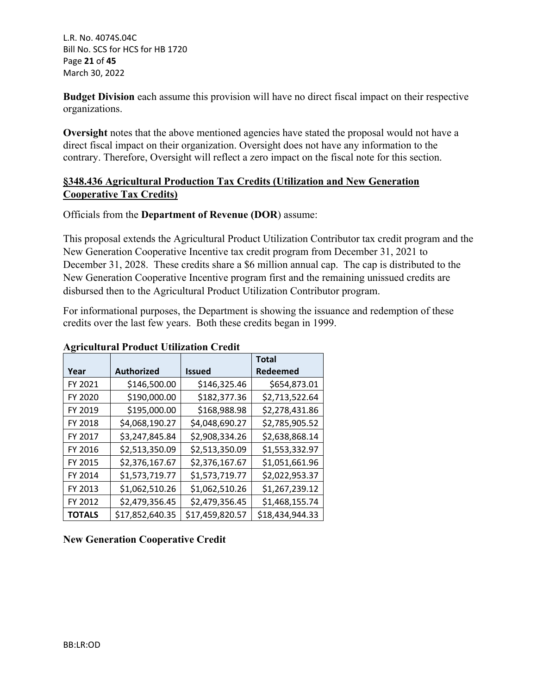L.R. No. 4074S.04C Bill No. SCS for HCS for HB 1720 Page **21** of **45** March 30, 2022

**Budget Division** each assume this provision will have no direct fiscal impact on their respective organizations.

**Oversight** notes that the above mentioned agencies have stated the proposal would not have a direct fiscal impact on their organization. Oversight does not have any information to the contrary. Therefore, Oversight will reflect a zero impact on the fiscal note for this section.

# **§348.436 Agricultural Production Tax Credits (Utilization and New Generation Cooperative Tax Credits)**

Officials from the **Department of Revenue (DOR**) assume:

This proposal extends the Agricultural Product Utilization Contributor tax credit program and the New Generation Cooperative Incentive tax credit program from December 31, 2021 to December 31, 2028. These credits share a \$6 million annual cap. The cap is distributed to the New Generation Cooperative Incentive program first and the remaining unissued credits are disbursed then to the Agricultural Product Utilization Contributor program.

For informational purposes, the Department is showing the issuance and redemption of these credits over the last few years. Both these credits began in 1999.

|               |                   |                 | <b>Total</b>    |
|---------------|-------------------|-----------------|-----------------|
| Year          | <b>Authorized</b> | Issued          | Redeemed        |
| FY 2021       | \$146,500.00      | \$146,325.46    | \$654,873.01    |
| FY 2020       | \$190,000.00      | \$182,377.36    | \$2,713,522.64  |
| FY 2019       | \$195,000.00      | \$168,988.98    | \$2,278,431.86  |
| FY 2018       | \$4,068,190.27    | \$4,048,690.27  | \$2,785,905.52  |
| FY 2017       | \$3,247,845.84    | \$2,908,334.26  | \$2,638,868.14  |
| FY 2016       | \$2,513,350.09    | \$2,513,350.09  | \$1,553,332.97  |
| FY 2015       | \$2,376,167.67    | \$2,376,167.67  | \$1,051,661.96  |
| FY 2014       | \$1,573,719.77    | \$1,573,719.77  | \$2,022,953.37  |
| FY 2013       | \$1,062,510.26    | \$1,062,510.26  | \$1,267,239.12  |
| FY 2012       | \$2,479,356.45    | \$2,479,356.45  | \$1,468,155.74  |
| <b>TOTALS</b> | \$17,852,640.35   | \$17,459,820.57 | \$18,434,944.33 |

### **Agricultural Product Utilization Credit**

## **New Generation Cooperative Credit**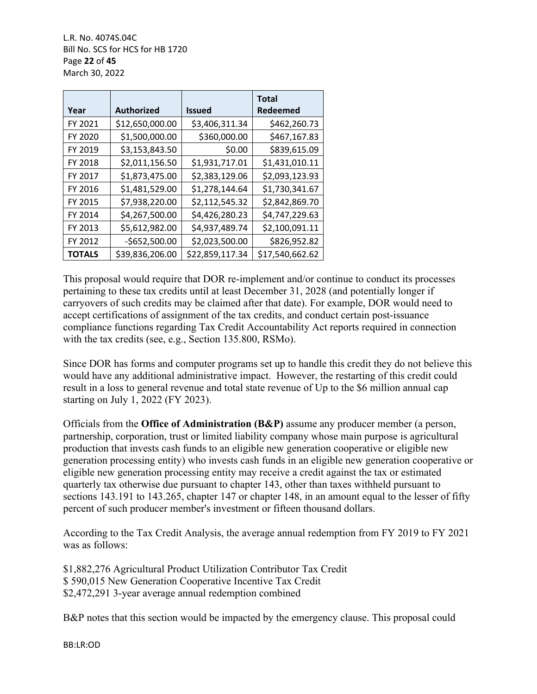L.R. No. 4074S.04C Bill No. SCS for HCS for HB 1720 Page **22** of **45** March 30, 2022

|               |                   |                 | <b>Total</b>    |
|---------------|-------------------|-----------------|-----------------|
| Year          | <b>Authorized</b> | <b>Issued</b>   | Redeemed        |
| FY 2021       | \$12,650,000.00   | \$3,406,311.34  | \$462,260.73    |
| FY 2020       | \$1,500,000.00    | \$360,000.00    | \$467,167.83    |
| FY 2019       | \$3,153,843.50    | \$0.00          | \$839,615.09    |
| FY 2018       | \$2,011,156.50    | \$1,931,717.01  | \$1,431,010.11  |
| FY 2017       | \$1,873,475.00    | \$2,383,129.06  | \$2,093,123.93  |
| FY 2016       | \$1,481,529.00    | \$1,278,144.64  | \$1,730,341.67  |
| FY 2015       | \$7,938,220.00    | \$2,112,545.32  | \$2,842,869.70  |
| FY 2014       | \$4,267,500.00    | \$4,426,280.23  | \$4,747,229.63  |
| FY 2013       | \$5,612,982.00    | \$4,937,489.74  | \$2,100,091.11  |
| FY 2012       | $-$652,500.00$    | \$2,023,500.00  | \$826,952.82    |
| <b>TOTALS</b> | \$39,836,206.00   | \$22,859,117.34 | \$17,540,662.62 |

This proposal would require that DOR re-implement and/or continue to conduct its processes pertaining to these tax credits until at least December 31, 2028 (and potentially longer if carryovers of such credits may be claimed after that date). For example, DOR would need to accept certifications of assignment of the tax credits, and conduct certain post-issuance compliance functions regarding Tax Credit Accountability Act reports required in connection with the tax credits (see, e.g., Section 135.800, RSMo).

Since DOR has forms and computer programs set up to handle this credit they do not believe this would have any additional administrative impact. However, the restarting of this credit could result in a loss to general revenue and total state revenue of Up to the \$6 million annual cap starting on July 1, 2022 (FY 2023).

Officials from the **Office of Administration (B&P)** assume any producer member (a person, partnership, corporation, trust or limited liability company whose main purpose is agricultural production that invests cash funds to an eligible new generation cooperative or eligible new generation processing entity) who invests cash funds in an eligible new generation cooperative or eligible new generation processing entity may receive a credit against the tax or estimated quarterly tax otherwise due pursuant to chapter 143, other than taxes withheld pursuant to sections 143.191 to 143.265, chapter 147 or chapter 148, in an amount equal to the lesser of fifty percent of such producer member's investment or fifteen thousand dollars.

According to the Tax Credit Analysis, the average annual redemption from FY 2019 to FY 2021 was as follows:

\$1,882,276 Agricultural Product Utilization Contributor Tax Credit \$ 590,015 New Generation Cooperative Incentive Tax Credit \$2,472,291 3-year average annual redemption combined

B&P notes that this section would be impacted by the emergency clause. This proposal could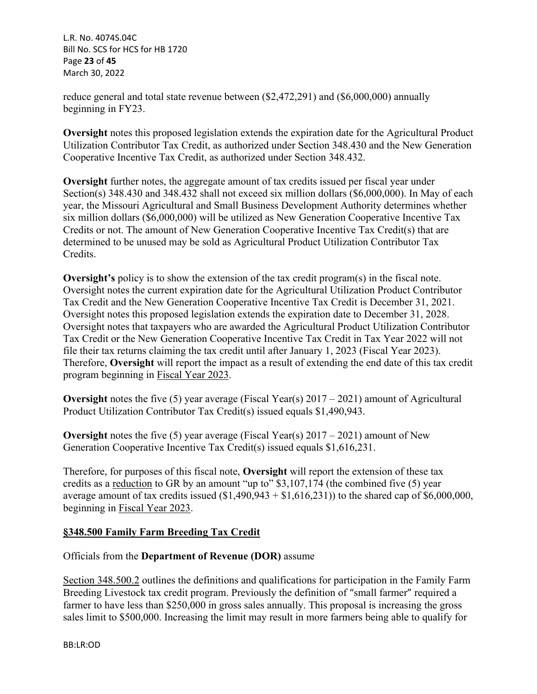L.R. No. 4074S.04C Bill No. SCS for HCS for HB 1720 Page **23** of **45** March 30, 2022

reduce general and total state revenue between (\$2,472,291) and (\$6,000,000) annually beginning in FY23.

**Oversight** notes this proposed legislation extends the expiration date for the Agricultural Product Utilization Contributor Tax Credit, as authorized under Section 348.430 and the New Generation Cooperative Incentive Tax Credit, as authorized under Section 348.432.

**Oversight** further notes, the aggregate amount of tax credits issued per fiscal year under Section(s) 348.430 and 348.432 shall not exceed six million dollars (\$6,000,000). In May of each year, the Missouri Agricultural and Small Business Development Authority determines whether six million dollars (\$6,000,000) will be utilized as New Generation Cooperative Incentive Tax Credits or not. The amount of New Generation Cooperative Incentive Tax Credit(s) that are determined to be unused may be sold as Agricultural Product Utilization Contributor Tax Credits.

**Oversight's** policy is to show the extension of the tax credit program(s) in the fiscal note. Oversight notes the current expiration date for the Agricultural Utilization Product Contributor Tax Credit and the New Generation Cooperative Incentive Tax Credit is December 31, 2021. Oversight notes this proposed legislation extends the expiration date to December 31, 2028. Oversight notes that taxpayers who are awarded the Agricultural Product Utilization Contributor Tax Credit or the New Generation Cooperative Incentive Tax Credit in Tax Year 2022 will not file their tax returns claiming the tax credit until after January 1, 2023 (Fiscal Year 2023). Therefore, **Oversight** will report the impact as a result of extending the end date of this tax credit program beginning in Fiscal Year 2023.

**Oversight** notes the five (5) year average (Fiscal Year(s) 2017 – 2021) amount of Agricultural Product Utilization Contributor Tax Credit(s) issued equals \$1,490,943.

**Oversight** notes the five (5) year average (Fiscal Year(s) 2017 – 2021) amount of New Generation Cooperative Incentive Tax Credit(s) issued equals \$1,616,231.

Therefore, for purposes of this fiscal note, **Oversight** will report the extension of these tax credits as a reduction to GR by an amount "up to" \$3,107,174 (the combined five (5) year average amount of tax credits issued  $(\$1,490,943 + \$1,616,231)$  to the shared cap of  $\$6,000,000$ , beginning in Fiscal Year 2023.

## **§348.500 Family Farm Breeding Tax Credit**

## Officials from the **Department of Revenue (DOR)** assume

Section 348.500.2 outlines the definitions and qualifications for participation in the Family Farm Breeding Livestock tax credit program. Previously the definition of "small farmer" required a farmer to have less than \$250,000 in gross sales annually. This proposal is increasing the gross sales limit to \$500,000. Increasing the limit may result in more farmers being able to qualify for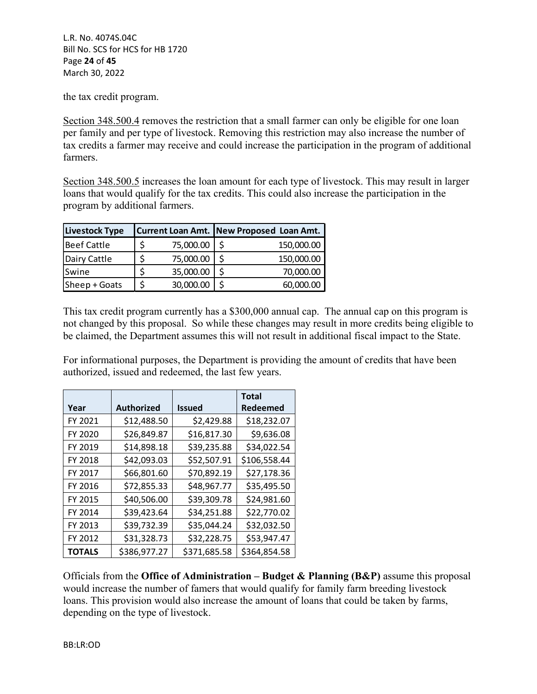L.R. No. 4074S.04C Bill No. SCS for HCS for HB 1720 Page **24** of **45** March 30, 2022

the tax credit program.

Section 348.500.4 removes the restriction that a small farmer can only be eligible for one loan per family and per type of livestock. Removing this restriction may also increase the number of tax credits a farmer may receive and could increase the participation in the program of additional farmers.

Section 348.500.5 increases the loan amount for each type of livestock. This may result in larger loans that would qualify for the tax credits. This could also increase the participation in the program by additional farmers.

| Livestock Type     |           | Current Loan Amt. New Proposed Loan Amt. |
|--------------------|-----------|------------------------------------------|
| <b>Beef Cattle</b> | 75,000.00 | 150,000.00                               |
| Dairy Cattle       | 75,000.00 | 150,000.00                               |
| Swine              | 35,000.00 | 70,000.00                                |
| Sheep + Goats      | 30,000.00 | 60,000.00                                |

This tax credit program currently has a \$300,000 annual cap. The annual cap on this program is not changed by this proposal. So while these changes may result in more credits being eligible to be claimed, the Department assumes this will not result in additional fiscal impact to the State.

For informational purposes, the Department is providing the amount of credits that have been authorized, issued and redeemed, the last few years.

|               |                   |               | <b>Total</b> |
|---------------|-------------------|---------------|--------------|
| Year          | <b>Authorized</b> | <b>Issued</b> | Redeemed     |
| FY 2021       | \$12,488.50       | \$2,429.88    | \$18,232.07  |
| FY 2020       | \$26,849.87       | \$16,817.30   | \$9,636.08   |
| FY 2019       | \$14,898.18       | \$39,235.88   | \$34,022.54  |
| FY 2018       | \$42,093.03       | \$52,507.91   | \$106,558.44 |
| FY 2017       | \$66,801.60       | \$70,892.19   | \$27,178.36  |
| FY 2016       | \$72,855.33       | \$48,967.77   | \$35,495.50  |
| FY 2015       | \$40,506.00       | \$39,309.78   | \$24,981.60  |
| FY 2014       | \$39,423.64       | \$34,251.88   | \$22,770.02  |
| FY 2013       | \$39,732.39       | \$35,044.24   | \$32,032.50  |
| FY 2012       | \$31,328.73       | \$32,228.75   | \$53,947.47  |
| <b>TOTALS</b> | \$386,977.27      | \$371,685.58  | \$364,854.58 |

Officials from the **Office of Administration – Budget & Planning (B&P)** assume this proposal would increase the number of famers that would qualify for family farm breeding livestock loans. This provision would also increase the amount of loans that could be taken by farms, depending on the type of livestock.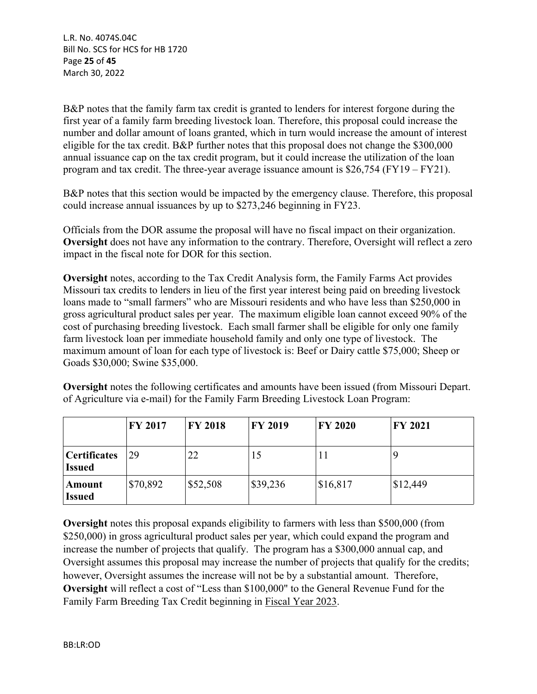L.R. No. 4074S.04C Bill No. SCS for HCS for HB 1720 Page **25** of **45** March 30, 2022

B&P notes that the family farm tax credit is granted to lenders for interest forgone during the first year of a family farm breeding livestock loan. Therefore, this proposal could increase the number and dollar amount of loans granted, which in turn would increase the amount of interest eligible for the tax credit. B&P further notes that this proposal does not change the \$300,000 annual issuance cap on the tax credit program, but it could increase the utilization of the loan program and tax credit. The three-year average issuance amount is \$26,754 (FY19 – FY21).

B&P notes that this section would be impacted by the emergency clause. Therefore, this proposal could increase annual issuances by up to \$273,246 beginning in FY23.

Officials from the DOR assume the proposal will have no fiscal impact on their organization. **Oversight** does not have any information to the contrary. Therefore, Oversight will reflect a zero impact in the fiscal note for DOR for this section.

**Oversight** notes, according to the Tax Credit Analysis form, the Family Farms Act provides Missouri tax credits to lenders in lieu of the first year interest being paid on breeding livestock loans made to "small farmers" who are Missouri residents and who have less than \$250,000 in gross agricultural product sales per year. The maximum eligible loan cannot exceed 90% of the cost of purchasing breeding livestock. Each small farmer shall be eligible for only one family farm livestock loan per immediate household family and only one type of livestock. The maximum amount of loan for each type of livestock is: Beef or Dairy cattle \$75,000; Sheep or Goads \$30,000; Swine \$35,000.

**Oversight** notes the following certificates and amounts have been issued (from Missouri Depart. of Agriculture via e-mail) for the Family Farm Breeding Livestock Loan Program:

|                                      | <b>FY 2017</b> | <b>FY 2018</b> | <b>FY 2019</b> | <b>FY 2020</b> | <b>FY 2021</b> |
|--------------------------------------|----------------|----------------|----------------|----------------|----------------|
| <b>Certificates</b><br><b>Issued</b> | 29             | 22             | 15             | $\perp$        | 9              |
| Amount<br><b>Issued</b>              | \$70,892       | \$52,508       | \$39,236       | \$16,817       | \$12,449       |

**Oversight** notes this proposal expands eligibility to farmers with less than \$500,000 (from \$250,000) in gross agricultural product sales per year, which could expand the program and increase the number of projects that qualify. The program has a \$300,000 annual cap, and Oversight assumes this proposal may increase the number of projects that qualify for the credits; however, Oversight assumes the increase will not be by a substantial amount. Therefore, **Oversight** will reflect a cost of "Less than \$100,000" to the General Revenue Fund for the Family Farm Breeding Tax Credit beginning in Fiscal Year 2023.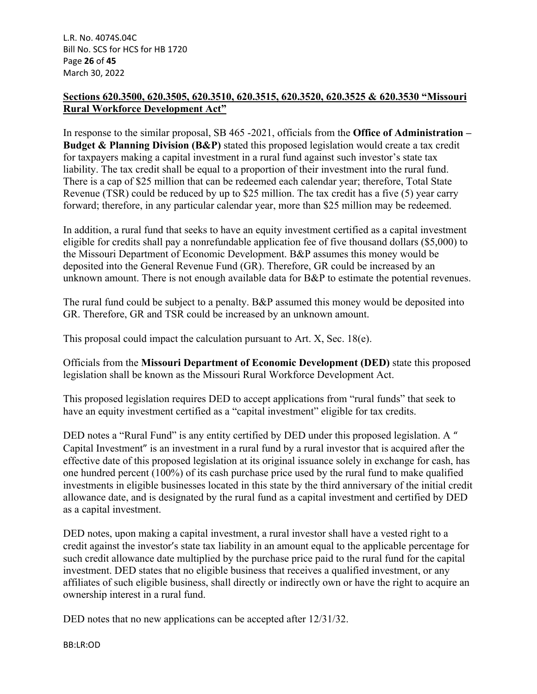## **Sections 620.3500, 620.3505, 620.3510, 620.3515, 620.3520, 620.3525 & 620.3530 "Missouri Rural Workforce Development Act"**

In response to the similar proposal, SB 465 -2021, officials from the **Office of Administration – Budget & Planning Division (B&P)** stated this proposed legislation would create a tax credit for taxpayers making a capital investment in a rural fund against such investor's state tax liability. The tax credit shall be equal to a proportion of their investment into the rural fund. There is a cap of \$25 million that can be redeemed each calendar year; therefore, Total State Revenue (TSR) could be reduced by up to \$25 million. The tax credit has a five (5) year carry forward; therefore, in any particular calendar year, more than \$25 million may be redeemed.

In addition, a rural fund that seeks to have an equity investment certified as a capital investment eligible for credits shall pay a nonrefundable application fee of five thousand dollars (\$5,000) to the Missouri Department of Economic Development. B&P assumes this money would be deposited into the General Revenue Fund (GR). Therefore, GR could be increased by an unknown amount. There is not enough available data for B&P to estimate the potential revenues.

The rural fund could be subject to a penalty. B&P assumed this money would be deposited into GR. Therefore, GR and TSR could be increased by an unknown amount.

This proposal could impact the calculation pursuant to Art. X, Sec. 18(e).

Officials from the **Missouri Department of Economic Development (DED)** state this proposed legislation shall be known as the Missouri Rural Workforce Development Act.

This proposed legislation requires DED to accept applications from "rural funds" that seek to have an equity investment certified as a "capital investment" eligible for tax credits.

DED notes a "Rural Fund" is any entity certified by DED under this proposed legislation. A " Capital Investment" is an investment in a rural fund by a rural investor that is acquired after the effective date of this proposed legislation at its original issuance solely in exchange for cash, has one hundred percent (100%) of its cash purchase price used by the rural fund to make qualified investments in eligible businesses located in this state by the third anniversary of the initial credit allowance date, and is designated by the rural fund as a capital investment and certified by DED as a capital investment.

DED notes, upon making a capital investment, a rural investor shall have a vested right to a credit against the investor's state tax liability in an amount equal to the applicable percentage for such credit allowance date multiplied by the purchase price paid to the rural fund for the capital investment. DED states that no eligible business that receives a qualified investment, or any affiliates of such eligible business, shall directly or indirectly own or have the right to acquire an ownership interest in a rural fund.

DED notes that no new applications can be accepted after  $12/31/32$ .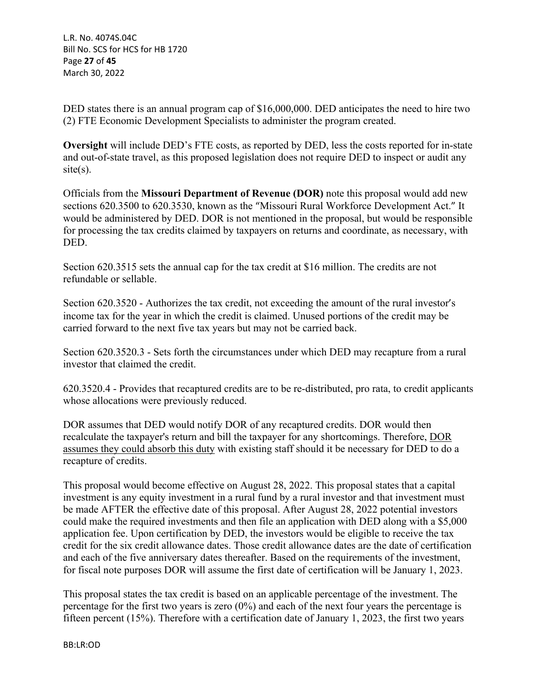L.R. No. 4074S.04C Bill No. SCS for HCS for HB 1720 Page **27** of **45** March 30, 2022

DED states there is an annual program cap of \$16,000,000. DED anticipates the need to hire two (2) FTE Economic Development Specialists to administer the program created.

**Oversight** will include DED's FTE costs, as reported by DED, less the costs reported for in-state and out-of-state travel, as this proposed legislation does not require DED to inspect or audit any  $site(s)$ .

Officials from the **Missouri Department of Revenue (DOR)** note this proposal would add new sections 620.3500 to 620.3530, known as the "Missouri Rural Workforce Development Act." It would be administered by DED. DOR is not mentioned in the proposal, but would be responsible for processing the tax credits claimed by taxpayers on returns and coordinate, as necessary, with DED.

Section 620.3515 sets the annual cap for the tax credit at \$16 million. The credits are not refundable or sellable.

Section 620.3520 - Authorizes the tax credit, not exceeding the amount of the rural investor's income tax for the year in which the credit is claimed. Unused portions of the credit may be carried forward to the next five tax years but may not be carried back.

Section 620.3520.3 - Sets forth the circumstances under which DED may recapture from a rural investor that claimed the credit.

620.3520.4 - Provides that recaptured credits are to be re-distributed, pro rata, to credit applicants whose allocations were previously reduced.

DOR assumes that DED would notify DOR of any recaptured credits. DOR would then recalculate the taxpayer's return and bill the taxpayer for any shortcomings. Therefore, DOR assumes they could absorb this duty with existing staff should it be necessary for DED to do a recapture of credits.

This proposal would become effective on August 28, 2022. This proposal states that a capital investment is any equity investment in a rural fund by a rural investor and that investment must be made AFTER the effective date of this proposal. After August 28, 2022 potential investors could make the required investments and then file an application with DED along with a \$5,000 application fee. Upon certification by DED, the investors would be eligible to receive the tax credit for the six credit allowance dates. Those credit allowance dates are the date of certification and each of the five anniversary dates thereafter. Based on the requirements of the investment, for fiscal note purposes DOR will assume the first date of certification will be January 1, 2023.

This proposal states the tax credit is based on an applicable percentage of the investment. The percentage for the first two years is zero  $(0\%)$  and each of the next four years the percentage is fifteen percent (15%). Therefore with a certification date of January 1, 2023, the first two years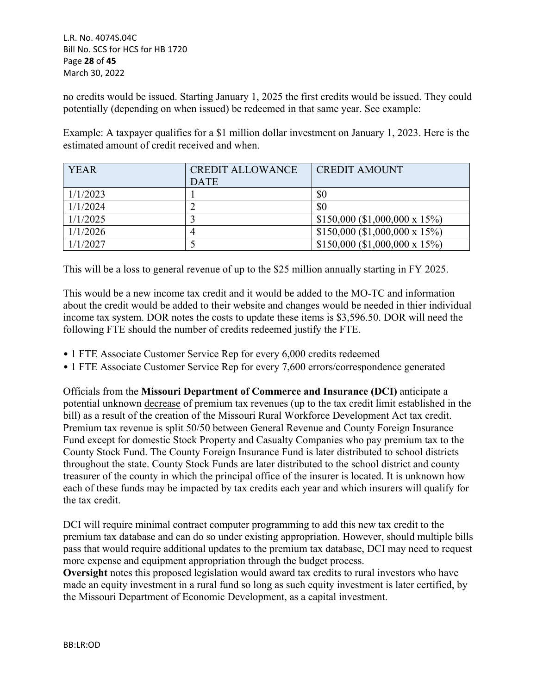no credits would be issued. Starting January 1, 2025 the first credits would be issued. They could potentially (depending on when issued) be redeemed in that same year. See example:

Example: A taxpayer qualifies for a \$1 million dollar investment on January 1, 2023. Here is the estimated amount of credit received and when.

| <b>YEAR</b> | <b>CREDIT ALLOWANCE</b> | <b>CREDIT AMOUNT</b>           |
|-------------|-------------------------|--------------------------------|
|             | <b>DATE</b>             |                                |
| 1/1/2023    |                         | \$0                            |
| 1/1/2024    |                         | \$0                            |
| 1/1/2025    |                         | $$150,000$ (\$1,000,000 x 15%) |
| 1/1/2026    |                         | \$150,000 (\$1,000,000 x 15%)  |
| 1/1/2027    |                         | \$150,000 (\$1,000,000 x 15%)  |

This will be a loss to general revenue of up to the \$25 million annually starting in FY 2025.

This would be a new income tax credit and it would be added to the MO-TC and information about the credit would be added to their website and changes would be needed in thier individual income tax system. DOR notes the costs to update these items is \$3,596.50. DOR will need the following FTE should the number of credits redeemed justify the FTE.

- 1 FTE Associate Customer Service Rep for every 6,000 credits redeemed
- 1 FTE Associate Customer Service Rep for every 7,600 errors/correspondence generated

Officials from the **Missouri Department of Commerce and Insurance (DCI)** anticipate a potential unknown decrease of premium tax revenues (up to the tax credit limit established in the bill) as a result of the creation of the Missouri Rural Workforce Development Act tax credit. Premium tax revenue is split 50/50 between General Revenue and County Foreign Insurance Fund except for domestic Stock Property and Casualty Companies who pay premium tax to the County Stock Fund. The County Foreign Insurance Fund is later distributed to school districts throughout the state. County Stock Funds are later distributed to the school district and county treasurer of the county in which the principal office of the insurer is located. It is unknown how each of these funds may be impacted by tax credits each year and which insurers will qualify for the tax credit.

DCI will require minimal contract computer programming to add this new tax credit to the premium tax database and can do so under existing appropriation. However, should multiple bills pass that would require additional updates to the premium tax database, DCI may need to request more expense and equipment appropriation through the budget process.

**Oversight** notes this proposed legislation would award tax credits to rural investors who have made an equity investment in a rural fund so long as such equity investment is later certified, by the Missouri Department of Economic Development, as a capital investment.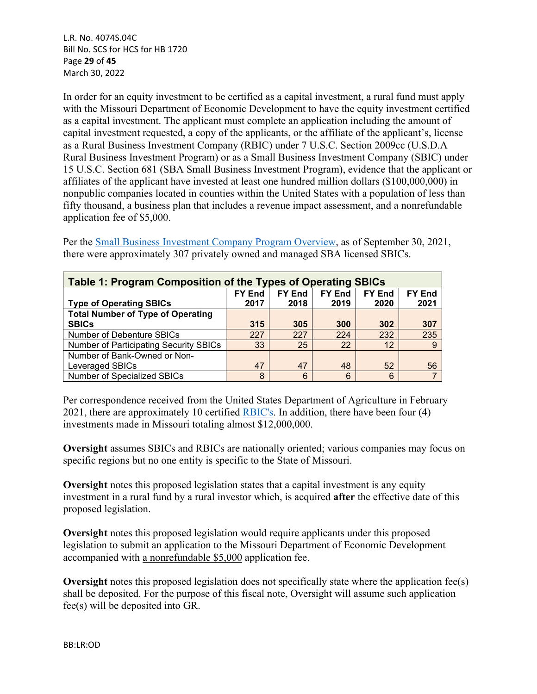L.R. No. 4074S.04C Bill No. SCS for HCS for HB 1720 Page **29** of **45** March 30, 2022

In order for an equity investment to be certified as a capital investment, a rural fund must apply with the Missouri Department of Economic Development to have the equity investment certified as a capital investment. The applicant must complete an application including the amount of capital investment requested, a copy of the applicants, or the affiliate of the applicant's, license as a Rural Business Investment Company (RBIC) under 7 U.S.C. Section 2009cc (U.S.D.A Rural Business Investment Program) or as a Small Business Investment Company (SBIC) under 15 U.S.C. Section 681 (SBA Small Business Investment Program), evidence that the applicant or affiliates of the applicant have invested at least one hundred million dollars (\$100,000,000) in nonpublic companies located in counties within the United States with a population of less than fifty thousand, a business plan that includes a revenue impact assessment, and a nonrefundable application fee of \$5,000.

Per the [Small Business Investment Company Program Overview,](https://fas.org/sgp/crs/misc/R41456.pdf) as of September 30, 2021, there were approximately 307 privately owned and managed SBA licensed SBICs.

| Table 1: Program Composition of the Types of Operating SBICs                      |      |      |      |      |      |  |
|-----------------------------------------------------------------------------------|------|------|------|------|------|--|
| <b>FY End</b><br><b>FY End</b><br><b>FY End</b><br><b>FY End</b><br><b>FY End</b> |      |      |      |      |      |  |
| <b>Type of Operating SBICs</b>                                                    | 2017 | 2018 | 2019 | 2020 | 2021 |  |
| <b>Total Number of Type of Operating</b>                                          |      |      |      |      |      |  |
| <b>SBICs</b>                                                                      | 315  | 305  | 300  | 302  | 307  |  |
| Number of Debenture SBICs                                                         | 227  | 227  | 224  | 232  | 235  |  |
| <b>Number of Participating Security SBICs</b>                                     | 33   | 25   | 22   | 12   | -9   |  |
| Number of Bank-Owned or Non-                                                      |      |      |      |      |      |  |
| Leveraged SBICs                                                                   | 47   | 47   | 48   | 52   | 56   |  |
| Number of Specialized SBICs                                                       | 8    | 6    | 6    | 6    |      |  |

Per correspondence received from the United States Department of Agriculture in February 2021, there are approximately 10 certified [RBIC's.](https://www.rd.usda.gov/sites/default/files/USDA_RD_CertifiedRBICs.pdf) In addition, there have been four (4) investments made in Missouri totaling almost \$12,000,000.

**Oversight** assumes SBICs and RBICs are nationally oriented; various companies may focus on specific regions but no one entity is specific to the State of Missouri.

**Oversight** notes this proposed legislation states that a capital investment is any equity investment in a rural fund by a rural investor which, is acquired **after** the effective date of this proposed legislation.

**Oversight** notes this proposed legislation would require applicants under this proposed legislation to submit an application to the Missouri Department of Economic Development accompanied with a nonrefundable \$5,000 application fee.

**Oversight** notes this proposed legislation does not specifically state where the application fee(s) shall be deposited. For the purpose of this fiscal note, Oversight will assume such application fee(s) will be deposited into GR.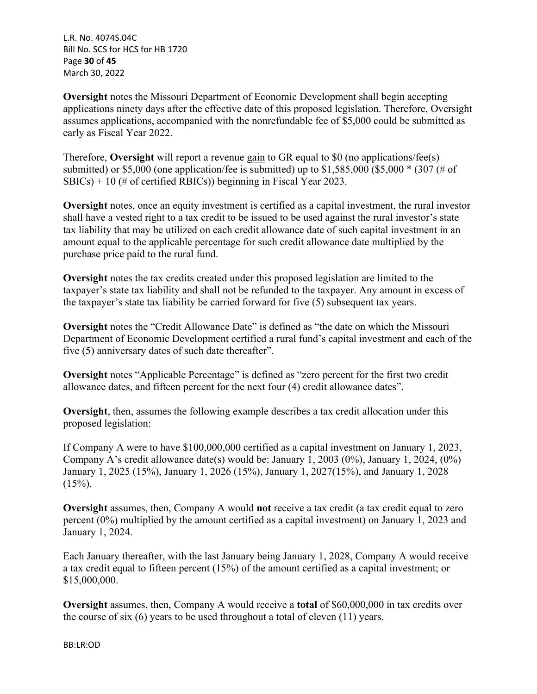L.R. No. 4074S.04C Bill No. SCS for HCS for HB 1720 Page **30** of **45** March 30, 2022

**Oversight** notes the Missouri Department of Economic Development shall begin accepting applications ninety days after the effective date of this proposed legislation. Therefore, Oversight assumes applications, accompanied with the nonrefundable fee of \$5,000 could be submitted as early as Fiscal Year 2022.

Therefore, **Oversight** will report a revenue gain to GR equal to \$0 (no applications/fee(s) submitted) or \$5,000 (one application/fee is submitted) up to  $$1,585,000$  (\$5,000  $*$  (307 (# of SBICs) + 10 (# of certified RBICs)) beginning in Fiscal Year 2023.

**Oversight** notes, once an equity investment is certified as a capital investment, the rural investor shall have a vested right to a tax credit to be issued to be used against the rural investor's state tax liability that may be utilized on each credit allowance date of such capital investment in an amount equal to the applicable percentage for such credit allowance date multiplied by the purchase price paid to the rural fund.

**Oversight** notes the tax credits created under this proposed legislation are limited to the taxpayer's state tax liability and shall not be refunded to the taxpayer. Any amount in excess of the taxpayer's state tax liability be carried forward for five (5) subsequent tax years.

**Oversight** notes the "Credit Allowance Date" is defined as "the date on which the Missouri Department of Economic Development certified a rural fund's capital investment and each of the five (5) anniversary dates of such date thereafter".

**Oversight** notes "Applicable Percentage" is defined as "zero percent for the first two credit allowance dates, and fifteen percent for the next four (4) credit allowance dates".

**Oversight**, then, assumes the following example describes a tax credit allocation under this proposed legislation:

If Company A were to have \$100,000,000 certified as a capital investment on January 1, 2023, Company A's credit allowance date(s) would be: January 1, 2003 (0%), January 1, 2024, (0%) January 1, 2025 (15%), January 1, 2026 (15%), January 1, 2027(15%), and January 1, 2028  $(15\%)$ .

**Oversight** assumes, then, Company A would **not** receive a tax credit (a tax credit equal to zero percent (0%) multiplied by the amount certified as a capital investment) on January 1, 2023 and January 1, 2024.

Each January thereafter, with the last January being January 1, 2028, Company A would receive a tax credit equal to fifteen percent (15%) of the amount certified as a capital investment; or \$15,000,000.

**Oversight** assumes, then, Company A would receive a **total** of \$60,000,000 in tax credits over the course of six (6) years to be used throughout a total of eleven (11) years.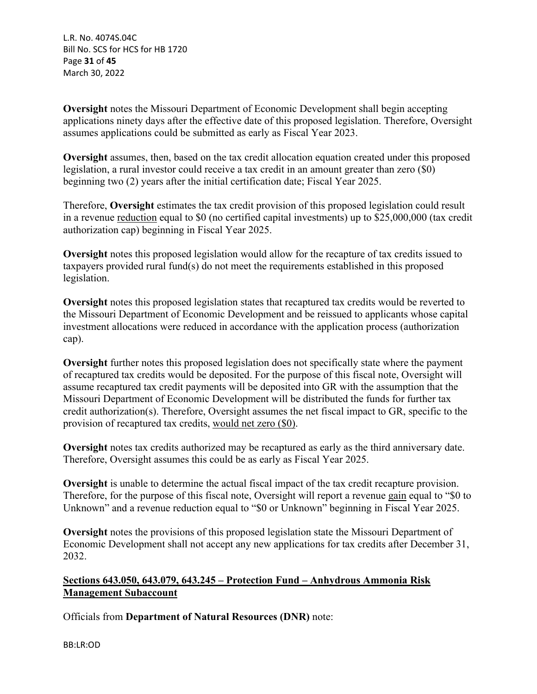L.R. No. 4074S.04C Bill No. SCS for HCS for HB 1720 Page **31** of **45** March 30, 2022

**Oversight** notes the Missouri Department of Economic Development shall begin accepting applications ninety days after the effective date of this proposed legislation. Therefore, Oversight assumes applications could be submitted as early as Fiscal Year 2023.

**Oversight** assumes, then, based on the tax credit allocation equation created under this proposed legislation, a rural investor could receive a tax credit in an amount greater than zero (\$0) beginning two (2) years after the initial certification date; Fiscal Year 2025.

Therefore, **Oversight** estimates the tax credit provision of this proposed legislation could result in a revenue reduction equal to \$0 (no certified capital investments) up to \$25,000,000 (tax credit authorization cap) beginning in Fiscal Year 2025.

**Oversight** notes this proposed legislation would allow for the recapture of tax credits issued to taxpayers provided rural fund(s) do not meet the requirements established in this proposed legislation.

**Oversight** notes this proposed legislation states that recaptured tax credits would be reverted to the Missouri Department of Economic Development and be reissued to applicants whose capital investment allocations were reduced in accordance with the application process (authorization cap).

**Oversight** further notes this proposed legislation does not specifically state where the payment of recaptured tax credits would be deposited. For the purpose of this fiscal note, Oversight will assume recaptured tax credit payments will be deposited into GR with the assumption that the Missouri Department of Economic Development will be distributed the funds for further tax credit authorization(s). Therefore, Oversight assumes the net fiscal impact to GR, specific to the provision of recaptured tax credits, would net zero (\$0).

**Oversight** notes tax credits authorized may be recaptured as early as the third anniversary date. Therefore, Oversight assumes this could be as early as Fiscal Year 2025.

**Oversight** is unable to determine the actual fiscal impact of the tax credit recapture provision. Therefore, for the purpose of this fiscal note, Oversight will report a revenue gain equal to "\$0 to Unknown" and a revenue reduction equal to "\$0 or Unknown" beginning in Fiscal Year 2025.

**Oversight** notes the provisions of this proposed legislation state the Missouri Department of Economic Development shall not accept any new applications for tax credits after December 31, 2032.

# **Sections 643.050, 643.079, 643.245 – Protection Fund – Anhydrous Ammonia Risk Management Subaccount**

Officials from **Department of Natural Resources (DNR)** note: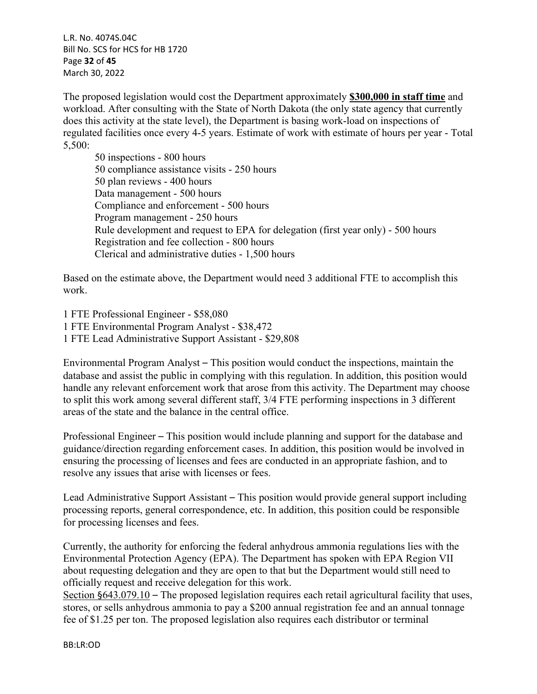L.R. No. 4074S.04C Bill No. SCS for HCS for HB 1720 Page **32** of **45** March 30, 2022

The proposed legislation would cost the Department approximately **\$300,000 in staff time** and workload. After consulting with the State of North Dakota (the only state agency that currently does this activity at the state level), the Department is basing work-load on inspections of regulated facilities once every 4-5 years. Estimate of work with estimate of hours per year - Total 5,500:

50 inspections - 800 hours 50 compliance assistance visits - 250 hours 50 plan reviews - 400 hours Data management - 500 hours Compliance and enforcement - 500 hours Program management - 250 hours Rule development and request to EPA for delegation (first year only) - 500 hours Registration and fee collection - 800 hours Clerical and administrative duties - 1,500 hours

Based on the estimate above, the Department would need 3 additional FTE to accomplish this work.

1 FTE Professional Engineer - \$58,080 1 FTE Environmental Program Analyst - \$38,472 1 FTE Lead Administrative Support Assistant - \$29,808

Environmental Program Analyst – This position would conduct the inspections, maintain the database and assist the public in complying with this regulation. In addition, this position would handle any relevant enforcement work that arose from this activity. The Department may choose to split this work among several different staff, 3/4 FTE performing inspections in 3 different areas of the state and the balance in the central office.

Professional Engineer – This position would include planning and support for the database and guidance/direction regarding enforcement cases. In addition, this position would be involved in ensuring the processing of licenses and fees are conducted in an appropriate fashion, and to resolve any issues that arise with licenses or fees.

Lead Administrative Support Assistant – This position would provide general support including processing reports, general correspondence, etc. In addition, this position could be responsible for processing licenses and fees.

Currently, the authority for enforcing the federal anhydrous ammonia regulations lies with the Environmental Protection Agency (EPA). The Department has spoken with EPA Region VII about requesting delegation and they are open to that but the Department would still need to officially request and receive delegation for this work.

Section §643.079.10 – The proposed legislation requires each retail agricultural facility that uses, stores, or sells anhydrous ammonia to pay a \$200 annual registration fee and an annual tonnage fee of \$1.25 per ton. The proposed legislation also requires each distributor or terminal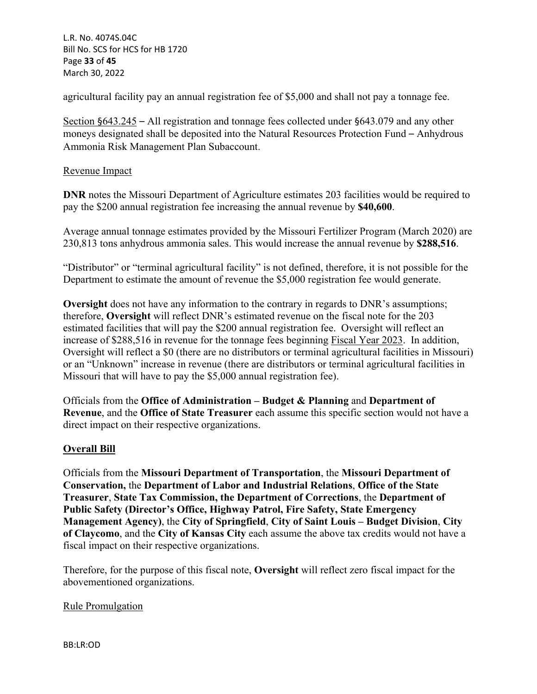L.R. No. 4074S.04C Bill No. SCS for HCS for HB 1720 Page **33** of **45** March 30, 2022

agricultural facility pay an annual registration fee of \$5,000 and shall not pay a tonnage fee.

Section §643.245 – All registration and tonnage fees collected under §643.079 and any other moneys designated shall be deposited into the Natural Resources Protection Fund – Anhydrous Ammonia Risk Management Plan Subaccount.

#### Revenue Impact

**DNR** notes the Missouri Department of Agriculture estimates 203 facilities would be required to pay the \$200 annual registration fee increasing the annual revenue by **\$40,600**.

Average annual tonnage estimates provided by the Missouri Fertilizer Program (March 2020) are 230,813 tons anhydrous ammonia sales. This would increase the annual revenue by **\$288,516**.

"Distributor" or "terminal agricultural facility" is not defined, therefore, it is not possible for the Department to estimate the amount of revenue the \$5,000 registration fee would generate.

**Oversight** does not have any information to the contrary in regards to DNR's assumptions; therefore, **Oversight** will reflect DNR's estimated revenue on the fiscal note for the 203 estimated facilities that will pay the \$200 annual registration fee. Oversight will reflect an increase of \$288,516 in revenue for the tonnage fees beginning Fiscal Year 2023. In addition, Oversight will reflect a \$0 (there are no distributors or terminal agricultural facilities in Missouri) or an "Unknown" increase in revenue (there are distributors or terminal agricultural facilities in Missouri that will have to pay the \$5,000 annual registration fee).

Officials from the **Office of Administration – Budget & Planning** and **Department of Revenue**, and the **Office of State Treasurer** each assume this specific section would not have a direct impact on their respective organizations.

#### **Overall Bill**

Officials from the **Missouri Department of Transportation**, the **Missouri Department of Conservation,** the **Department of Labor and Industrial Relations**, **Office of the State Treasurer**, **State Tax Commission, the Department of Corrections**, the **Department of Public Safety (Director's Office, Highway Patrol, Fire Safety, State Emergency Management Agency)**, the **City of Springfield**, **City of Saint Louis – Budget Division**, **City of Claycomo**, and the **City of Kansas City** each assume the above tax credits would not have a fiscal impact on their respective organizations.

Therefore, for the purpose of this fiscal note, **Oversight** will reflect zero fiscal impact for the abovementioned organizations.

#### Rule Promulgation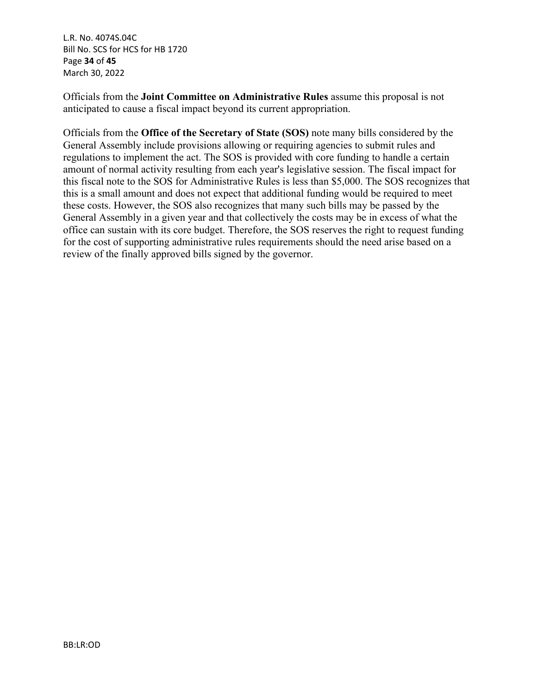L.R. No. 4074S.04C Bill No. SCS for HCS for HB 1720 Page **34** of **45** March 30, 2022

Officials from the **Joint Committee on Administrative Rules** assume this proposal is not anticipated to cause a fiscal impact beyond its current appropriation.

Officials from the **Office of the Secretary of State (SOS)** note many bills considered by the General Assembly include provisions allowing or requiring agencies to submit rules and regulations to implement the act. The SOS is provided with core funding to handle a certain amount of normal activity resulting from each year's legislative session. The fiscal impact for this fiscal note to the SOS for Administrative Rules is less than \$5,000. The SOS recognizes that this is a small amount and does not expect that additional funding would be required to meet these costs. However, the SOS also recognizes that many such bills may be passed by the General Assembly in a given year and that collectively the costs may be in excess of what the office can sustain with its core budget. Therefore, the SOS reserves the right to request funding for the cost of supporting administrative rules requirements should the need arise based on a review of the finally approved bills signed by the governor.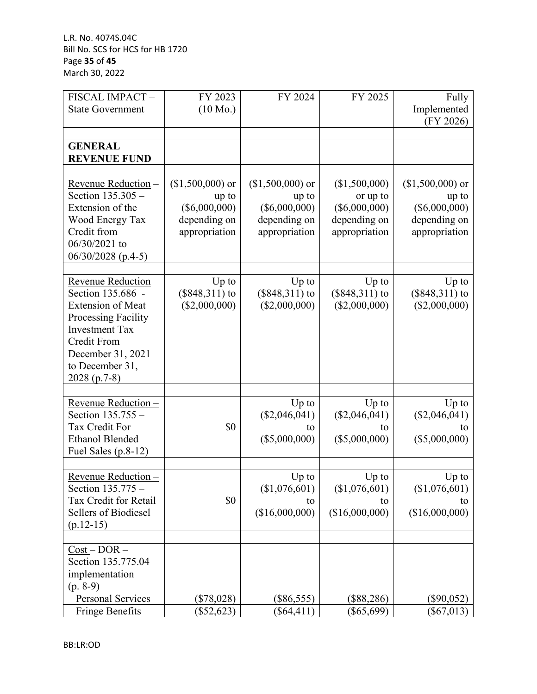L.R. No. 4074S.04C Bill No. SCS for HCS for HB 1720 Page **35** of **45** March 30, 2022

| FISCAL IMPACT-                      | FY 2023                       | FY 2024                       | FY 2025                       | Fully                         |
|-------------------------------------|-------------------------------|-------------------------------|-------------------------------|-------------------------------|
| <b>State Government</b>             | $(10 \text{ Mo.})$            |                               |                               | Implemented                   |
|                                     |                               |                               |                               | (FY 2026)                     |
|                                     |                               |                               |                               |                               |
| <b>GENERAL</b>                      |                               |                               |                               |                               |
| <b>REVENUE FUND</b>                 |                               |                               |                               |                               |
|                                     |                               |                               |                               |                               |
| Revenue Reduction -                 | $($1,500,000)$ or             | $($1,500,000)$ or             | (\$1,500,000)                 | $($1,500,000)$ or             |
| Section 135.305 -                   | up to                         | up to                         | or up to                      | up to                         |
| Extension of the<br>Wood Energy Tax | $(\$6,000,000)$               | $(\$6,000,000)$               | $(\$6,000,000)$               | $(\$6,000,000)$               |
| Credit from                         | depending on<br>appropriation | depending on<br>appropriation | depending on<br>appropriation | depending on<br>appropriation |
| 06/30/2021 to                       |                               |                               |                               |                               |
| $06/30/2028$ (p.4-5)                |                               |                               |                               |                               |
|                                     |                               |                               |                               |                               |
| Revenue Reduction-                  | $Up$ to                       | $Up$ to                       | $Up$ to                       | $Up$ to                       |
| Section 135.686 -                   | $($848,311)$ to               | $($848,311)$ to               | $(\$848,311)$ to              | $(\$848,311)$ to              |
| <b>Extension of Meat</b>            | $(\$2,000,000)$               | (\$2,000,000)                 | (\$2,000,000)                 | $(\$2,000,000)$               |
| Processing Facility                 |                               |                               |                               |                               |
| <b>Investment Tax</b>               |                               |                               |                               |                               |
| <b>Credit From</b>                  |                               |                               |                               |                               |
| December 31, 2021                   |                               |                               |                               |                               |
| to December 31,                     |                               |                               |                               |                               |
| $2028(p.7-8)$                       |                               |                               |                               |                               |
|                                     |                               |                               |                               |                               |
| Revenue Reduction-                  |                               | Up to                         | Up to                         | $Up$ to                       |
| Section 135.755 -                   |                               | $(\$2,046,041)$               | $(\$2,046,041)$               | $(\$2,046,041)$               |
| Tax Credit For                      | \$0                           | to                            | to                            | to                            |
| <b>Ethanol Blended</b>              |                               | (\$5,000,000)                 | $(\$5,000,000)$               | $(\$5,000,000)$               |
| Fuel Sales (p.8-12)                 |                               |                               |                               |                               |
| Revenue Reduction -                 |                               | $Up$ to                       | $Up$ to                       | $Up$ to                       |
| Section 135.775 -                   |                               | (\$1,076,601)                 | (\$1,076,601)                 | (\$1,076,601)                 |
| Tax Credit for Retail               | \$0                           | to                            | to                            | το                            |
| <b>Sellers of Biodiesel</b>         |                               | (\$16,000,000)                | (\$16,000,000)                | (\$16,000,000)                |
| $(p.12-15)$                         |                               |                               |                               |                               |
|                                     |                               |                               |                               |                               |
| $Cost - DOR -$                      |                               |                               |                               |                               |
| Section 135.775.04                  |                               |                               |                               |                               |
| implementation                      |                               |                               |                               |                               |
| $(p. 8-9)$                          |                               |                               |                               |                               |
| <b>Personal Services</b>            | $(\$78,028)$                  | $(\$86,555)$                  | $(\$88,286)$                  | (\$90,052)                    |
| <b>Fringe Benefits</b>              | $(\$52,623)$                  | $(\$64,411)$                  | $(\$65,699)$                  | $(\$67,013)$                  |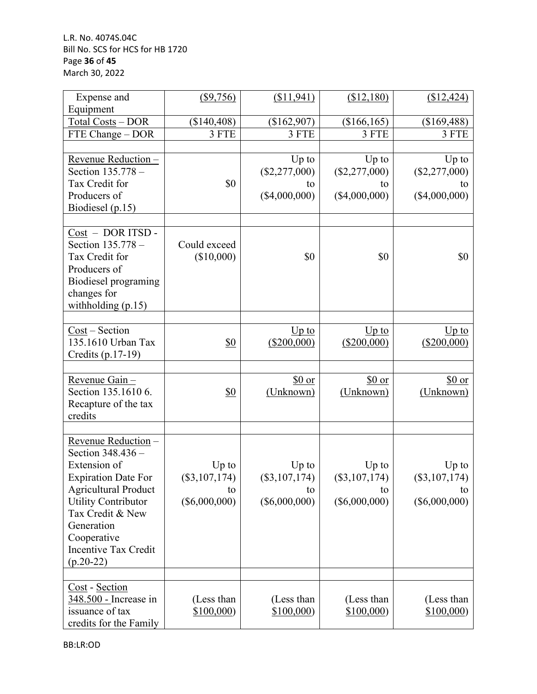L.R. No. 4074S.04C Bill No. SCS for HCS for HB 1720 Page **36** of **45** March 30, 2022

| Expense and                 | $($ \$9,756)      | (\$11, 941)     | (\$12,180)      | (\$12,424)      |
|-----------------------------|-------------------|-----------------|-----------------|-----------------|
| Equipment                   |                   |                 |                 |                 |
| Total Costs - DOR           | (\$140,408)       | (\$162,907)     | (\$166, 165)    | (\$169,488)     |
| FTE Change - DOR            | 3 FTE             | 3 FTE           | 3 FTE           | 3 FTE           |
|                             |                   |                 |                 |                 |
| Revenue Reduction -         |                   | $Up$ to         | $Up$ to         | $Up$ to         |
| Section 135.778 -           |                   | $(\$2,277,000)$ | $(\$2,277,000)$ | $(\$2,277,000)$ |
| Tax Credit for              | \$0               | to              | to              | to              |
| Producers of                |                   | (\$4,000,000)   | (\$4,000,000)   | (\$4,000,000)   |
| Biodiesel (p.15)            |                   |                 |                 |                 |
|                             |                   |                 |                 |                 |
| Cost - DOR ITSD -           |                   |                 |                 |                 |
| Section 135.778 -           | Could exceed      |                 |                 |                 |
| Tax Credit for              | (\$10,000)        | \$0             | \$0             | \$0             |
| Producers of                |                   |                 |                 |                 |
| Biodiesel programing        |                   |                 |                 |                 |
| changes for                 |                   |                 |                 |                 |
| withholding (p.15)          |                   |                 |                 |                 |
|                             |                   |                 |                 |                 |
| $Cost - Section$            |                   | $Up$ to         | $Up$ to         | $Up$ to         |
| 135.1610 Urban Tax          | $\underline{\$0}$ | $(\$200,000)$   | $(\$200,000)$   | $(\$200,000)$   |
| Credits (p.17-19)           |                   |                 |                 |                 |
|                             |                   |                 |                 |                 |
| Revenue Gain-               |                   | \$0 or          | \$0 or          | \$0 or          |
| Section 135.1610 6.         | $\underline{\$0}$ | (Unknown)       | (Unknown)       | (Unknown)       |
| Recapture of the tax        |                   |                 |                 |                 |
| credits                     |                   |                 |                 |                 |
|                             |                   |                 |                 |                 |
| Revenue Reduction -         |                   |                 |                 |                 |
| Section 348.436 -           |                   |                 |                 |                 |
| Extension of                | $Up$ to           | $Up$ to         | $Up$ to         | $Up$ to         |
| <b>Expiration Date For</b>  | $(\$3,107,174)$   | $(\$3,107,174)$ | $(\$3,107,174)$ | $(\$3,107,174)$ |
| <b>Agricultural Product</b> | to                | to              | to              | to              |
| <b>Utility Contributor</b>  | $(\$6,000,000)$   | $(\$6,000,000)$ | $(\$6,000,000)$ | $(\$6,000,000)$ |
| Tax Credit & New            |                   |                 |                 |                 |
| Generation                  |                   |                 |                 |                 |
| Cooperative                 |                   |                 |                 |                 |
| <b>Incentive Tax Credit</b> |                   |                 |                 |                 |
| $(p.20-22)$                 |                   |                 |                 |                 |
|                             |                   |                 |                 |                 |
| Cost - Section              |                   |                 |                 |                 |
| 348.500 - Increase in       | (Less than        | (Less than      | (Less than      | (Less than      |
| issuance of tax             | \$100,000)        | \$100,000       | \$100,000       | \$100,000       |
| credits for the Family      |                   |                 |                 |                 |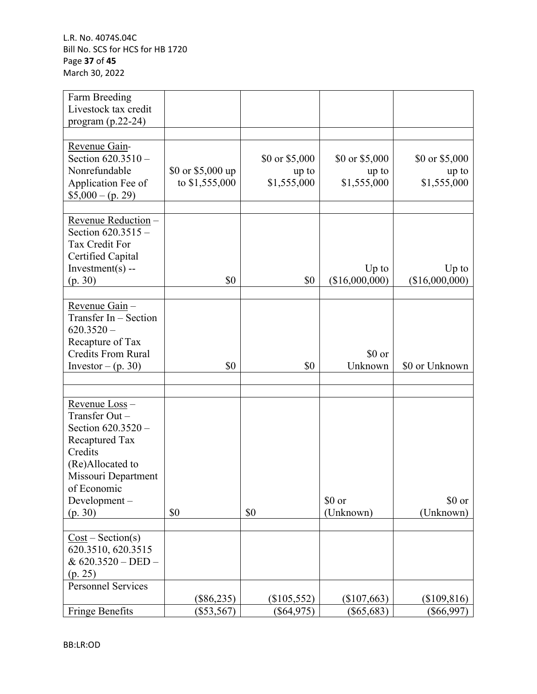L.R. No. 4074S.04C Bill No. SCS for HCS for HB 1720 Page **37** of **45** March 30, 2022

| Farm Breeding<br>Livestock tax credit                                                                                                                                  |                                      |                                        |                                         |                                        |
|------------------------------------------------------------------------------------------------------------------------------------------------------------------------|--------------------------------------|----------------------------------------|-----------------------------------------|----------------------------------------|
| program $(p.22-24)$                                                                                                                                                    |                                      |                                        |                                         |                                        |
| Revenue Gain-<br>Section $620.3510 -$<br>Nonrefundable<br>Application Fee of<br>$$5,000 - (p. 29)$                                                                     | \$0 or $$5,000$ up<br>to \$1,555,000 | \$0 or \$5,000<br>up to<br>\$1,555,000 | \$0 or $$5,000$<br>up to<br>\$1,555,000 | \$0 or \$5,000<br>up to<br>\$1,555,000 |
| Revenue Reduction -<br>Section 620.3515 -<br>Tax Credit For<br>Certified Capital<br>Investment $(s)$ --<br>(p. 30)                                                     | \$0                                  | \$0                                    | $Up$ to<br>(\$16,000,000)               | $Up$ to<br>(\$16,000,000)              |
| Revenue Gain-<br>Transfer In - Section<br>$620.3520 -$<br>Recapture of Tax<br><b>Credits From Rural</b><br>Investor $-(p. 30)$                                         | \$0                                  | \$0                                    | \$0 or<br>Unknown                       | \$0 or Unknown                         |
|                                                                                                                                                                        |                                      |                                        |                                         |                                        |
| Revenue Loss-<br>Transfer Out-<br>Section 620.3520 -<br>Recaptured Tax<br>Credits<br>(Re)Allocated to<br>Missouri Department<br>of Economic<br>Development-<br>(p. 30) | \$0                                  | \$0                                    | \$0 or<br>(Unknown)                     | \$0 or<br>(Unknown)                    |
| $Cost - Section(s)$<br>620.3510, 620.3515<br>& 620.3520 - DED -<br>(p. 25)                                                                                             |                                      |                                        |                                         |                                        |
| <b>Personnel Services</b>                                                                                                                                              | $(\$86,235)$                         | $(\$105,552)$                          | $(\$107,663)$                           | $(\$109,816)$                          |
| <b>Fringe Benefits</b>                                                                                                                                                 | $(\$53,567)$                         | $(\$64,975)$                           | $(\$65,683)$                            | $(\$66,997)$                           |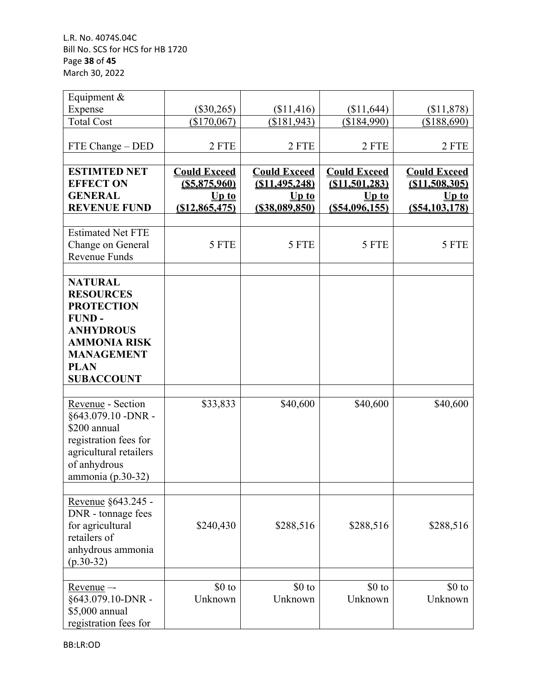L.R. No. 4074S.04C Bill No. SCS for HCS for HB 1720 Page **38** of **45** March 30, 2022

| Equipment &                                                                                                                                                                 |                                                                       |                                                                        |                                                                    |                                                                      |
|-----------------------------------------------------------------------------------------------------------------------------------------------------------------------------|-----------------------------------------------------------------------|------------------------------------------------------------------------|--------------------------------------------------------------------|----------------------------------------------------------------------|
| Expense                                                                                                                                                                     | $(\$30,265)$                                                          | \$11,416                                                               | (\$11,644)                                                         | (\$11,878)                                                           |
| <b>Total Cost</b>                                                                                                                                                           | (\$170,067)                                                           | (\$181, 943)                                                           | (\$184,990)                                                        | (\$188,690)                                                          |
| FTE Change - DED                                                                                                                                                            | 2 FTE                                                                 | 2 FTE                                                                  | 2 FTE                                                              | 2 FTE                                                                |
| <b>ESTIMTED NET</b><br><b>EFFECT ON</b><br><b>GENERAL</b><br><b>REVENUE FUND</b>                                                                                            | <b>Could Exceed</b><br>$($ \$5,875,960)<br>$Up$ to<br>(S12, 865, 475) | <b>Could Exceed</b><br>(S11, 495, 248)<br>$Up$ to<br>$($ \$38,089,850) | <b>Could Exceed</b><br>(S11, 501, 283)<br>$Up$ to<br>(S54,096,155) | <b>Could Exceed</b><br>(S11, 508, 305)<br>$Up$ to<br>(S54, 103, 178) |
| <b>Estimated Net FTE</b><br>Change on General<br><b>Revenue Funds</b>                                                                                                       | 5 FTE                                                                 | 5 FTE                                                                  | 5 FTE                                                              | 5 FTE                                                                |
| <b>NATURAL</b><br><b>RESOURCES</b><br><b>PROTECTION</b><br><b>FUND-</b><br><b>ANHYDROUS</b><br><b>AMMONIA RISK</b><br><b>MANAGEMENT</b><br><b>PLAN</b><br><b>SUBACCOUNT</b> |                                                                       |                                                                        |                                                                    |                                                                      |
| Revenue - Section<br>§643.079.10 - DNR -<br>\$200 annual<br>registration fees for<br>agricultural retailers<br>of anhydrous<br>ammonia (p.30-32)                            | \$33,833                                                              | \$40,600                                                               | \$40,600                                                           | \$40,600                                                             |
| Revenue §643.245 -<br>DNR - tonnage fees<br>for agricultural<br>retailers of<br>anhydrous ammonia<br>$(p.30-32)$                                                            | \$240,430                                                             | \$288,516                                                              | \$288,516                                                          | \$288,516                                                            |
| $Revenue -$<br>§643.079.10-DNR -<br>\$5,000 annual<br>registration fees for                                                                                                 | \$0 to<br>Unknown                                                     | $$0$ to<br>Unknown                                                     | \$0 to<br>Unknown                                                  | $$0$ to<br>Unknown                                                   |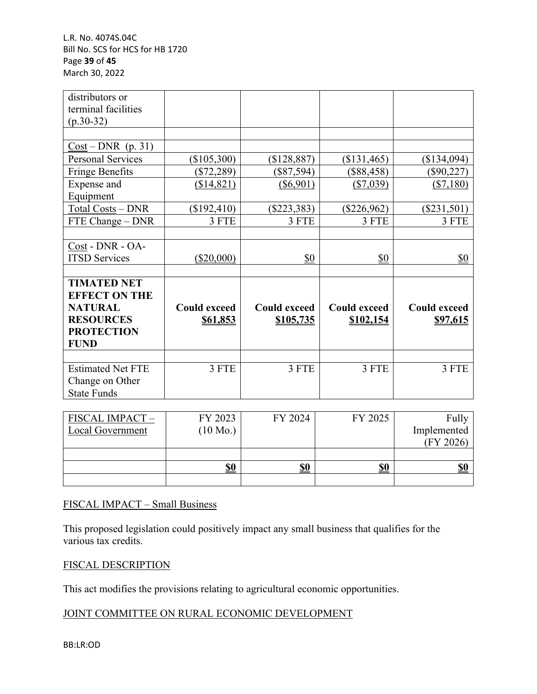L.R. No. 4074S.04C Bill No. SCS for HCS for HB 1720 Page **39** of **45** March 30, 2022

| distributors or<br>terminal facilities |                     |                     |                     |                     |
|----------------------------------------|---------------------|---------------------|---------------------|---------------------|
| $(p.30-32)$                            |                     |                     |                     |                     |
|                                        |                     |                     |                     |                     |
| $Cost-DNR$ (p. 31)                     |                     |                     |                     |                     |
| <b>Personal Services</b>               | $(\$105,300)$       | (\$128,887)         | $(\$131,465)$       | (\$134,094)         |
| <b>Fringe Benefits</b>                 | $(\$72,289)$        | $(\$87,594)$        | $(\$88,458)$        | $(\$90,227)$        |
| Expense and                            | (\$14,821)          | $(\$6,901)$         | ( \$7,039)          | (\$7,180)           |
| Equipment                              |                     |                     |                     |                     |
| Total Costs - DNR                      | (\$192,410)         | $(\$223,383)$       | $(\$226,962)$       | $(\$231,501)$       |
| FTE Change – DNR                       | 3 FTE               | 3 FTE               | 3 FTE               | 3 FTE               |
|                                        |                     |                     |                     |                     |
| Cost - DNR - OA-                       |                     |                     |                     |                     |
| <b>ITSD Services</b>                   | $(\$20,000)$        | \$0                 | \$0                 | \$0                 |
|                                        |                     |                     |                     |                     |
| <b>TIMATED NET</b>                     |                     |                     |                     |                     |
| <b>EFFECT ON THE</b>                   |                     |                     |                     |                     |
| <b>NATURAL</b>                         | <b>Could exceed</b> | <b>Could exceed</b> | <b>Could exceed</b> | <b>Could exceed</b> |
| <b>RESOURCES</b>                       | <u>\$61,853</u>     | \$105,735           | \$102,154           | \$97,615            |
| <b>PROTECTION</b>                      |                     |                     |                     |                     |
| <b>FUND</b>                            |                     |                     |                     |                     |
|                                        |                     |                     |                     |                     |
| <b>Estimated Net FTE</b>               | 3 FTE               | 3 FTE               | 3 FTE               | 3 FTE               |
| Change on Other                        |                     |                     |                     |                     |
| <b>State Funds</b>                     |                     |                     |                     |                     |

| FISCAL IMPACT-   | FY 2023            | FY 2024    | FY 2025    | Fully       |
|------------------|--------------------|------------|------------|-------------|
| Local Government | $(10 \text{ Mo.})$ |            |            | Implemented |
|                  |                    |            |            | (FY 2026)   |
|                  |                    |            |            |             |
|                  | <u>\$0</u>         | <u>\$0</u> | <u>\$0</u> | <u>SC</u>   |
|                  |                    |            |            |             |

#### FISCAL IMPACT – Small Business

This proposed legislation could positively impact any small business that qualifies for the various tax credits.

#### FISCAL DESCRIPTION

This act modifies the provisions relating to agricultural economic opportunities.

## JOINT COMMITTEE ON RURAL ECONOMIC DEVELOPMENT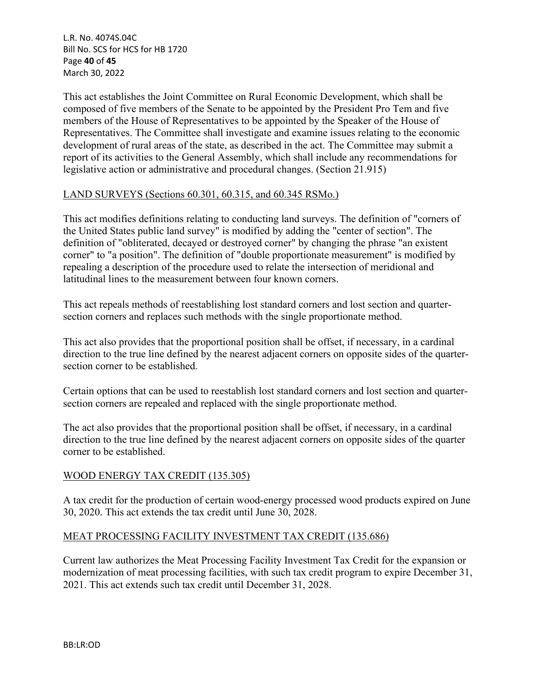L.R. No. 4074S.04C Bill No. SCS for HCS for HB 1720 Page **40** of **45** March 30, 2022

This act establishes the Joint Committee on Rural Economic Development, which shall be composed of five members of the Senate to be appointed by the President Pro Tem and five members of the House of Representatives to be appointed by the Speaker of the House of Representatives. The Committee shall investigate and examine issues relating to the economic development of rural areas of the state, as described in the act. The Committee may submit a report of its activities to the General Assembly, which shall include any recommendations for legislative action or administrative and procedural changes. (Section 21.915)

### LAND SURVEYS (Sections 60.301, 60.315, and 60.345 RSMo.)

This act modifies definitions relating to conducting land surveys. The definition of "corners of the United States public land survey" is modified by adding the "center of section". The definition of "obliterated, decayed or destroyed corner" by changing the phrase "an existent corner" to "a position". The definition of "double proportionate measurement" is modified by repealing a description of the procedure used to relate the intersection of meridional and latitudinal lines to the measurement between four known corners.

This act repeals methods of reestablishing lost standard corners and lost section and quartersection corners and replaces such methods with the single proportionate method.

This act also provides that the proportional position shall be offset, if necessary, in a cardinal direction to the true line defined by the nearest adjacent corners on opposite sides of the quartersection corner to be established.

Certain options that can be used to reestablish lost standard corners and lost section and quartersection corners are repealed and replaced with the single proportionate method.

The act also provides that the proportional position shall be offset, if necessary, in a cardinal direction to the true line defined by the nearest adjacent corners on opposite sides of the quarter corner to be established.

## WOOD ENERGY TAX CREDIT (135.305)

A tax credit for the production of certain wood-energy processed wood products expired on June 30, 2020. This act extends the tax credit until June 30, 2028.

#### MEAT PROCESSING FACILITY INVESTMENT TAX CREDIT (135.686)

Current law authorizes the Meat Processing Facility Investment Tax Credit for the expansion or modernization of meat processing facilities, with such tax credit program to expire December 31, 2021. This act extends such tax credit until December 31, 2028.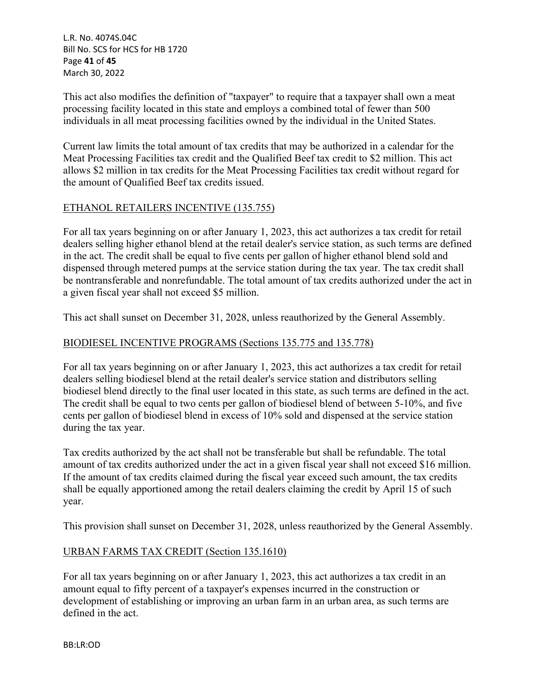L.R. No. 4074S.04C Bill No. SCS for HCS for HB 1720 Page **41** of **45** March 30, 2022

This act also modifies the definition of "taxpayer" to require that a taxpayer shall own a meat processing facility located in this state and employs a combined total of fewer than 500 individuals in all meat processing facilities owned by the individual in the United States.

Current law limits the total amount of tax credits that may be authorized in a calendar for the Meat Processing Facilities tax credit and the Qualified Beef tax credit to \$2 million. This act allows \$2 million in tax credits for the Meat Processing Facilities tax credit without regard for the amount of Qualified Beef tax credits issued.

## ETHANOL RETAILERS INCENTIVE (135.755)

For all tax years beginning on or after January 1, 2023, this act authorizes a tax credit for retail dealers selling higher ethanol blend at the retail dealer's service station, as such terms are defined in the act. The credit shall be equal to five cents per gallon of higher ethanol blend sold and dispensed through metered pumps at the service station during the tax year. The tax credit shall be nontransferable and nonrefundable. The total amount of tax credits authorized under the act in a given fiscal year shall not exceed \$5 million.

This act shall sunset on December 31, 2028, unless reauthorized by the General Assembly.

#### BIODIESEL INCENTIVE PROGRAMS (Sections 135.775 and 135.778)

For all tax years beginning on or after January 1, 2023, this act authorizes a tax credit for retail dealers selling biodiesel blend at the retail dealer's service station and distributors selling biodiesel blend directly to the final user located in this state, as such terms are defined in the act. The credit shall be equal to two cents per gallon of biodiesel blend of between 5-10%, and five cents per gallon of biodiesel blend in excess of 10% sold and dispensed at the service station during the tax year.

Tax credits authorized by the act shall not be transferable but shall be refundable. The total amount of tax credits authorized under the act in a given fiscal year shall not exceed \$16 million. If the amount of tax credits claimed during the fiscal year exceed such amount, the tax credits shall be equally apportioned among the retail dealers claiming the credit by April 15 of such year.

This provision shall sunset on December 31, 2028, unless reauthorized by the General Assembly.

#### URBAN FARMS TAX CREDIT (Section 135.1610)

For all tax years beginning on or after January 1, 2023, this act authorizes a tax credit in an amount equal to fifty percent of a taxpayer's expenses incurred in the construction or development of establishing or improving an urban farm in an urban area, as such terms are defined in the act.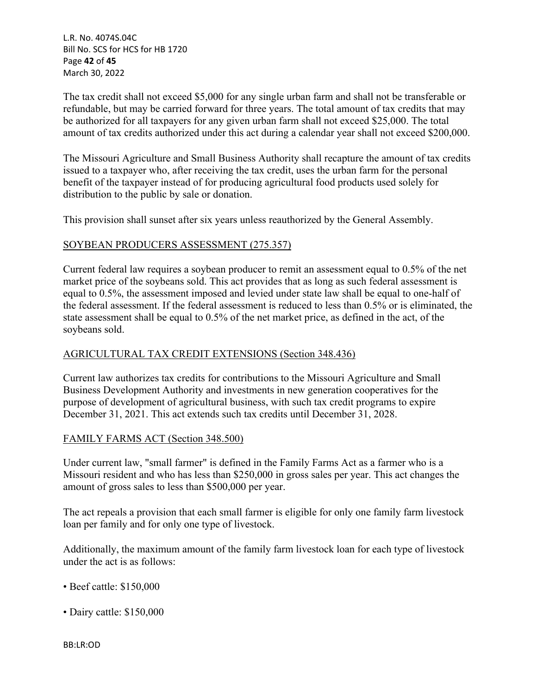L.R. No. 4074S.04C Bill No. SCS for HCS for HB 1720 Page **42** of **45** March 30, 2022

The tax credit shall not exceed \$5,000 for any single urban farm and shall not be transferable or refundable, but may be carried forward for three years. The total amount of tax credits that may be authorized for all taxpayers for any given urban farm shall not exceed \$25,000. The total amount of tax credits authorized under this act during a calendar year shall not exceed \$200,000.

The Missouri Agriculture and Small Business Authority shall recapture the amount of tax credits issued to a taxpayer who, after receiving the tax credit, uses the urban farm for the personal benefit of the taxpayer instead of for producing agricultural food products used solely for distribution to the public by sale or donation.

This provision shall sunset after six years unless reauthorized by the General Assembly.

### SOYBEAN PRODUCERS ASSESSMENT (275.357)

Current federal law requires a soybean producer to remit an assessment equal to 0.5% of the net market price of the soybeans sold. This act provides that as long as such federal assessment is equal to 0.5%, the assessment imposed and levied under state law shall be equal to one-half of the federal assessment. If the federal assessment is reduced to less than 0.5% or is eliminated, the state assessment shall be equal to 0.5% of the net market price, as defined in the act, of the soybeans sold.

## AGRICULTURAL TAX CREDIT EXTENSIONS (Section 348.436)

Current law authorizes tax credits for contributions to the Missouri Agriculture and Small Business Development Authority and investments in new generation cooperatives for the purpose of development of agricultural business, with such tax credit programs to expire December 31, 2021. This act extends such tax credits until December 31, 2028.

#### FAMILY FARMS ACT (Section 348.500)

Under current law, "small farmer" is defined in the Family Farms Act as a farmer who is a Missouri resident and who has less than \$250,000 in gross sales per year. This act changes the amount of gross sales to less than \$500,000 per year.

The act repeals a provision that each small farmer is eligible for only one family farm livestock loan per family and for only one type of livestock.

Additionally, the maximum amount of the family farm livestock loan for each type of livestock under the act is as follows:

- Beef cattle: \$150,000
- Dairy cattle: \$150,000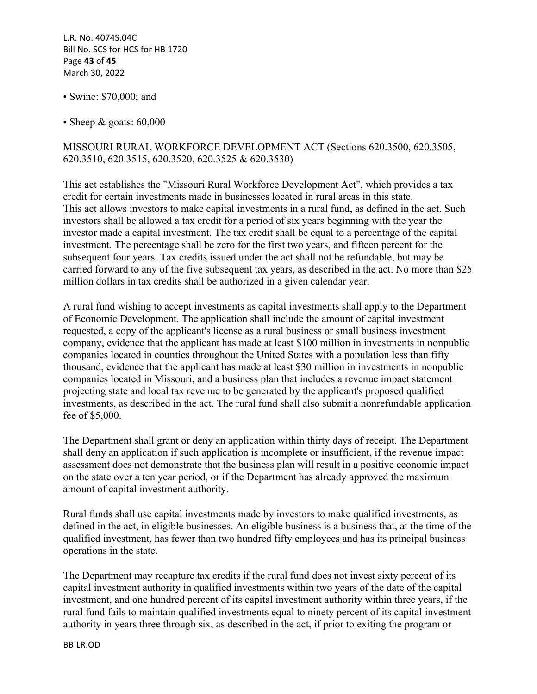L.R. No. 4074S.04C Bill No. SCS for HCS for HB 1720 Page **43** of **45** March 30, 2022

- Swine: \$70,000; and
- Sheep  $\&$  goats: 60,000

#### MISSOURI RURAL WORKFORCE DEVELOPMENT ACT (Sections 620.3500, 620.3505, 620.3510, 620.3515, 620.3520, 620.3525 & 620.3530)

This act establishes the "Missouri Rural Workforce Development Act", which provides a tax credit for certain investments made in businesses located in rural areas in this state. This act allows investors to make capital investments in a rural fund, as defined in the act. Such investors shall be allowed a tax credit for a period of six years beginning with the year the investor made a capital investment. The tax credit shall be equal to a percentage of the capital investment. The percentage shall be zero for the first two years, and fifteen percent for the subsequent four years. Tax credits issued under the act shall not be refundable, but may be carried forward to any of the five subsequent tax years, as described in the act. No more than \$25 million dollars in tax credits shall be authorized in a given calendar year.

A rural fund wishing to accept investments as capital investments shall apply to the Department of Economic Development. The application shall include the amount of capital investment requested, a copy of the applicant's license as a rural business or small business investment company, evidence that the applicant has made at least \$100 million in investments in nonpublic companies located in counties throughout the United States with a population less than fifty thousand, evidence that the applicant has made at least \$30 million in investments in nonpublic companies located in Missouri, and a business plan that includes a revenue impact statement projecting state and local tax revenue to be generated by the applicant's proposed qualified investments, as described in the act. The rural fund shall also submit a nonrefundable application fee of \$5,000.

The Department shall grant or deny an application within thirty days of receipt. The Department shall deny an application if such application is incomplete or insufficient, if the revenue impact assessment does not demonstrate that the business plan will result in a positive economic impact on the state over a ten year period, or if the Department has already approved the maximum amount of capital investment authority.

Rural funds shall use capital investments made by investors to make qualified investments, as defined in the act, in eligible businesses. An eligible business is a business that, at the time of the qualified investment, has fewer than two hundred fifty employees and has its principal business operations in the state.

The Department may recapture tax credits if the rural fund does not invest sixty percent of its capital investment authority in qualified investments within two years of the date of the capital investment, and one hundred percent of its capital investment authority within three years, if the rural fund fails to maintain qualified investments equal to ninety percent of its capital investment authority in years three through six, as described in the act, if prior to exiting the program or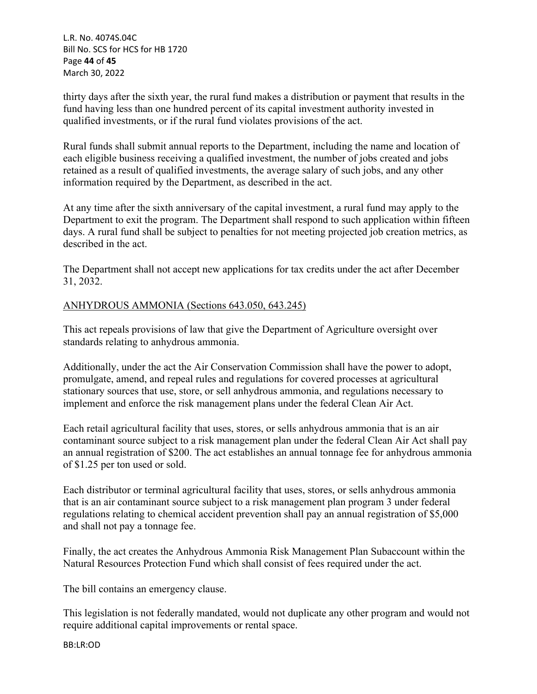L.R. No. 4074S.04C Bill No. SCS for HCS for HB 1720 Page **44** of **45** March 30, 2022

thirty days after the sixth year, the rural fund makes a distribution or payment that results in the fund having less than one hundred percent of its capital investment authority invested in qualified investments, or if the rural fund violates provisions of the act.

Rural funds shall submit annual reports to the Department, including the name and location of each eligible business receiving a qualified investment, the number of jobs created and jobs retained as a result of qualified investments, the average salary of such jobs, and any other information required by the Department, as described in the act.

At any time after the sixth anniversary of the capital investment, a rural fund may apply to the Department to exit the program. The Department shall respond to such application within fifteen days. A rural fund shall be subject to penalties for not meeting projected job creation metrics, as described in the act.

The Department shall not accept new applications for tax credits under the act after December 31, 2032.

### ANHYDROUS AMMONIA (Sections 643.050, 643.245)

This act repeals provisions of law that give the Department of Agriculture oversight over standards relating to anhydrous ammonia.

Additionally, under the act the Air Conservation Commission shall have the power to adopt, promulgate, amend, and repeal rules and regulations for covered processes at agricultural stationary sources that use, store, or sell anhydrous ammonia, and regulations necessary to implement and enforce the risk management plans under the federal Clean Air Act.

Each retail agricultural facility that uses, stores, or sells anhydrous ammonia that is an air contaminant source subject to a risk management plan under the federal Clean Air Act shall pay an annual registration of \$200. The act establishes an annual tonnage fee for anhydrous ammonia of \$1.25 per ton used or sold.

Each distributor or terminal agricultural facility that uses, stores, or sells anhydrous ammonia that is an air contaminant source subject to a risk management plan program 3 under federal regulations relating to chemical accident prevention shall pay an annual registration of \$5,000 and shall not pay a tonnage fee.

Finally, the act creates the Anhydrous Ammonia Risk Management Plan Subaccount within the Natural Resources Protection Fund which shall consist of fees required under the act.

The bill contains an emergency clause.

This legislation is not federally mandated, would not duplicate any other program and would not require additional capital improvements or rental space.